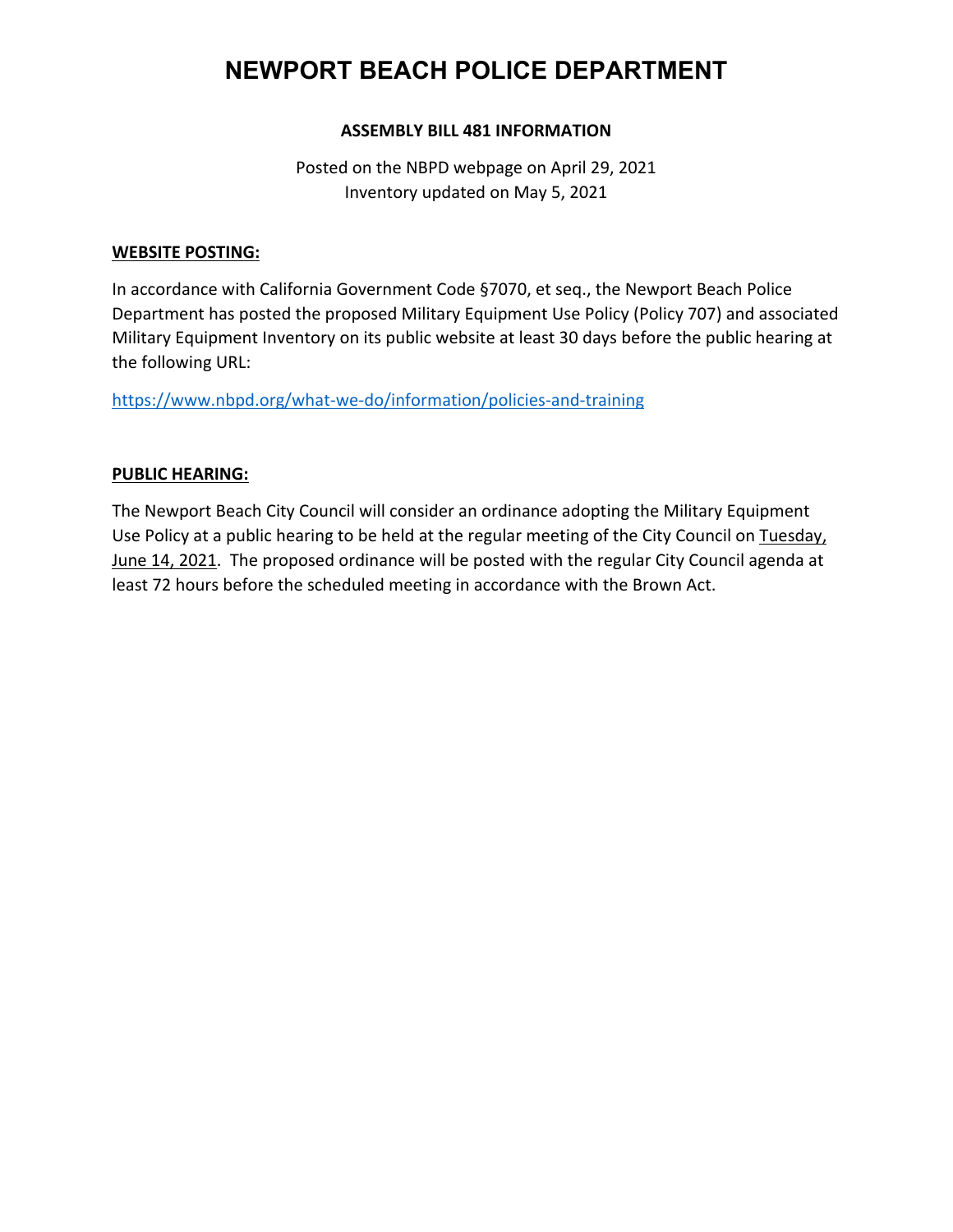# **NEWPORT BEACH POLICE DEPARTMENT**

#### **ASSEMBLY BILL 481 INFORMATION**

Posted on the NBPD webpage on April 29, 2021 Inventory updated on May 5, 2021

#### **WEBSITE POSTING:**

In accordance with California Government Code §7070, et seq., the Newport Beach Police Department has posted the proposed Military Equipment Use Policy (Policy 707) and associated Military Equipment Inventory on its public website at least 30 days before the public hearing at the following URL:

https://www.nbpd.org/what-we-do/information/policies-and-training

#### **PUBLIC HEARING:**

The Newport Beach City Council will consider an ordinance adopting the Military Equipment Use Policy at a public hearing to be held at the regular meeting of the City Council on Tuesday, June 14, 2021. The proposed ordinance will be posted with the regular City Council agenda at least 72 hours before the scheduled meeting in accordance with the Brown Act.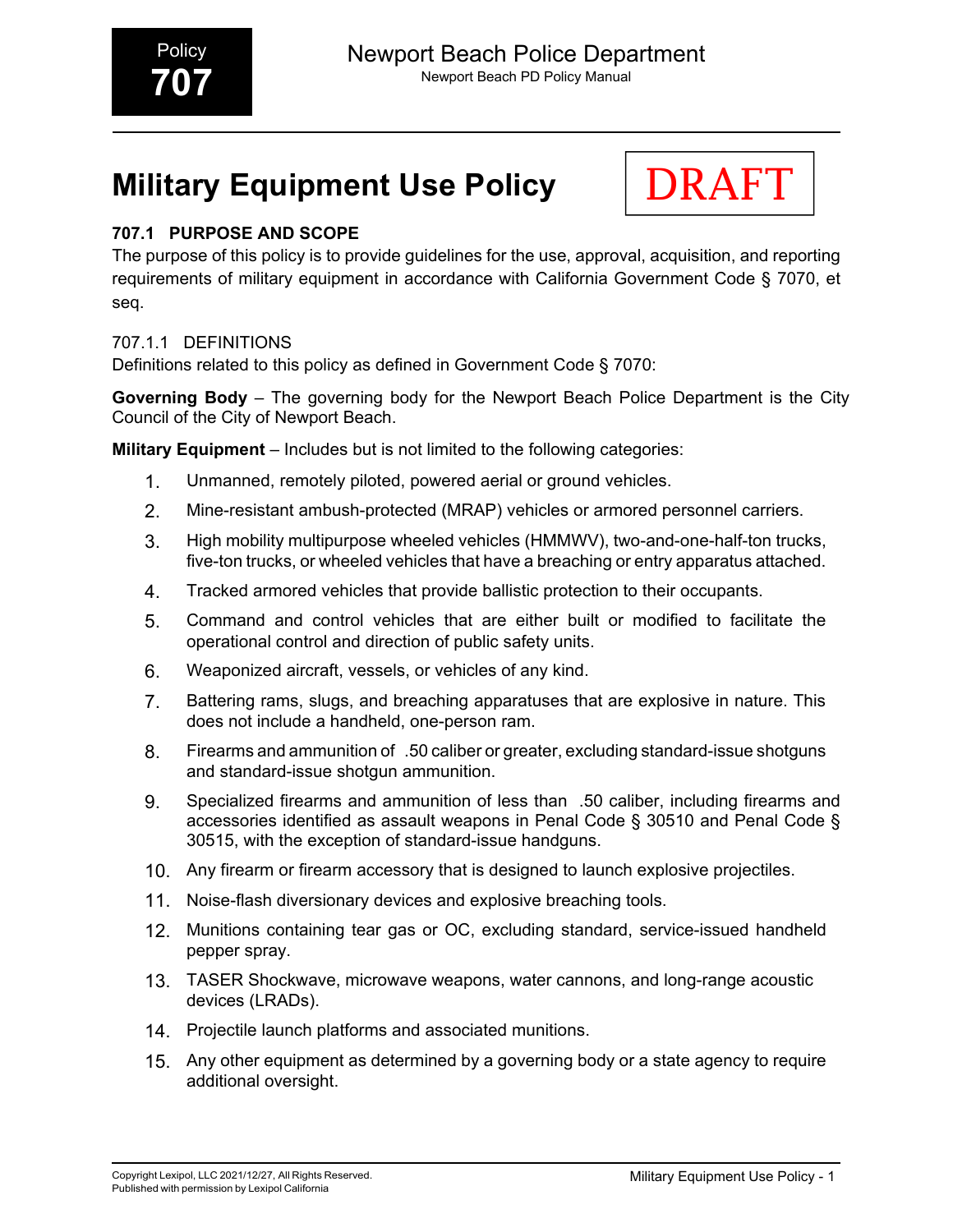# **Military Equipment Use Policy**



# **707.1 PURPOSE AND SCOPE**

The purpose of this policy is to provide guidelines for the use, approval, acquisition, and reporting requirements of military equipment in accordance with California Government Code § 7070, et seq.

# 707.1.1 DEFINITIONS

Definitions related to this policy as defined in Government Code § 7070:

**Governing Body** – The governing body for the Newport Beach Police Department is the City Council of the City of Newport Beach.

**Military Equipment** – Includes but is not limited to the following categories:

- 1. Unmanned, remotely piloted, powered aerial or ground vehicles.
- 2. Mine-resistant ambush-protected (MRAP) vehicles or armored personnel carriers.
- 3. High mobility multipurpose wheeled vehicles (HMMWV), two-and-one-half-ton trucks, five-ton trucks, or wheeled vehicles that have a breaching or entry apparatus attached.
- 4. Tracked armored vehicles that provide ballistic protection to their occupants.
- 5. Command and control vehicles that are either built or modified to facilitate the operational control and direction of public safety units.
- 6. Weaponized aircraft, vessels, or vehicles of any kind.
- 7. Battering rams, slugs, and breaching apparatuses that are explosive in nature. This does not include a handheld, one-person ram.
- 8. Firearms and ammunition of .50 caliber or greater, excluding standard-issue shotguns and standard-issue shotgun ammunition.
- 9. Specialized firearms and ammunition of less than .50 caliber, including firearms and accessories identified as assault weapons in Penal Code § 30510 and Penal Code § 30515, with the exception of standard-issue handguns.
- 10. Any firearm or firearm accessory that is designed to launch explosive projectiles.
- 11. Noise-flash diversionary devices and explosive breaching tools.
- 12. Munitions containing tear gas or OC, excluding standard, service-issued handheld pepper spray.
- 13. TASER Shockwave, microwave weapons, water cannons, and long-range acoustic devices (LRADs).
- 14. Projectile launch platforms and associated munitions.
- 15. Any other equipment as determined by a governing body or a state agency to require additional oversight.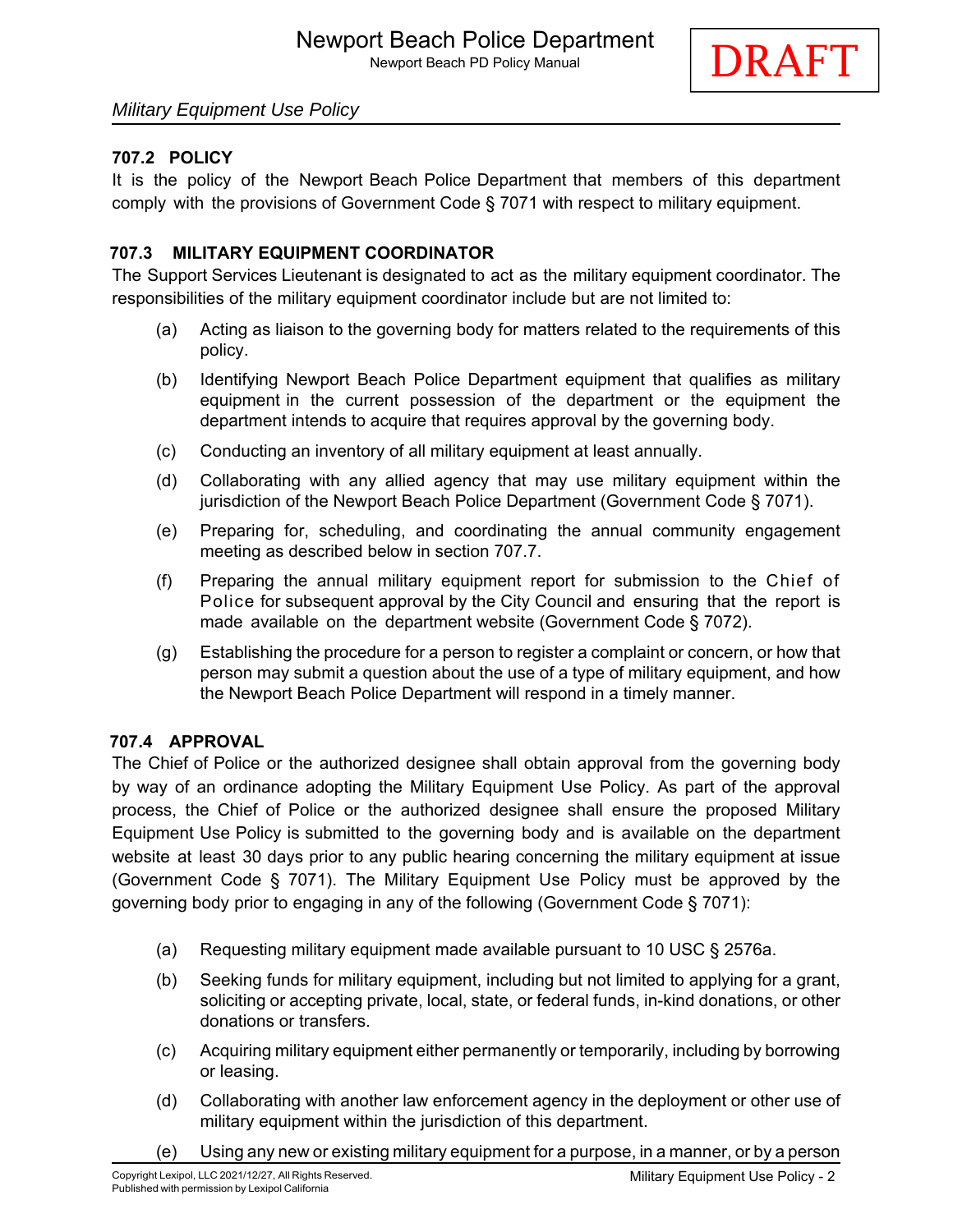

# *Military Equipment Use Policy*

# **707.2 POLICY**

It is the policy of the Newport Beach Police Department that members of this department comply with the provisions of Government Code § 7071 with respect to military equipment.

#### **707.3 MILITARY EQUIPMENT COORDINATOR**

The Support Services Lieutenant is designated to act as the military equipment coordinator. The responsibilities of the military equipment coordinator include but are not limited to:

- (a) Acting as liaison to the governing body for matters related to the requirements of this policy.
- (b) Identifying Newport Beach Police Department equipment that qualifies as military equipment in the current possession of the department or the equipment the department intends to acquire that requires approval by the governing body.
- (c) Conducting an inventory of all military equipment at least annually.
- (d) Collaborating with any allied agency that may use military equipment within the jurisdiction of the Newport Beach Police Department (Government Code § 7071).
- (e) Preparing for, scheduling, and coordinating the annual community engagement meeting as described below in section 707.7.
- (f) Preparing the annual military equipment report for submission to the Chief of Police for subsequent approval by the City Council and ensuring that the report is made available on the department website (Government Code § 7072).
- (g) Establishing the procedure for a person to register a complaint or concern, or how that person may submit a question about the use of a type of military equipment, and how the Newport Beach Police Department will respond in a timely manner.

#### **707.4 APPROVAL**

The Chief of Police or the authorized designee shall obtain approval from the governing body by way of an ordinance adopting the Military Equipment Use Policy. As part of the approval process, the Chief of Police or the authorized designee shall ensure the proposed Military Equipment Use Policy is submitted to the governing body and is available on the department website at least 30 days prior to any public hearing concerning the military equipment at issue (Government Code § 7071). The Military Equipment Use Policy must be approved by the governing body prior to engaging in any of the following (Government Code § 7071):

- (a) Requesting military equipment made available pursuant to 10 USC § 2576a.
- (b) Seeking funds for military equipment, including but not limited to applying for a grant, soliciting or accepting private, local, state, or federal funds, in-kind donations, or other donations or transfers.
- (c) Acquiring military equipment either permanently or temporarily, including by borrowing or leasing.
- (d) Collaborating with another law enforcement agency in the deployment or other use of military equipment within the jurisdiction of this department.
- (e) Using any new or existing military equipment for a purpose, in a manner, or by a person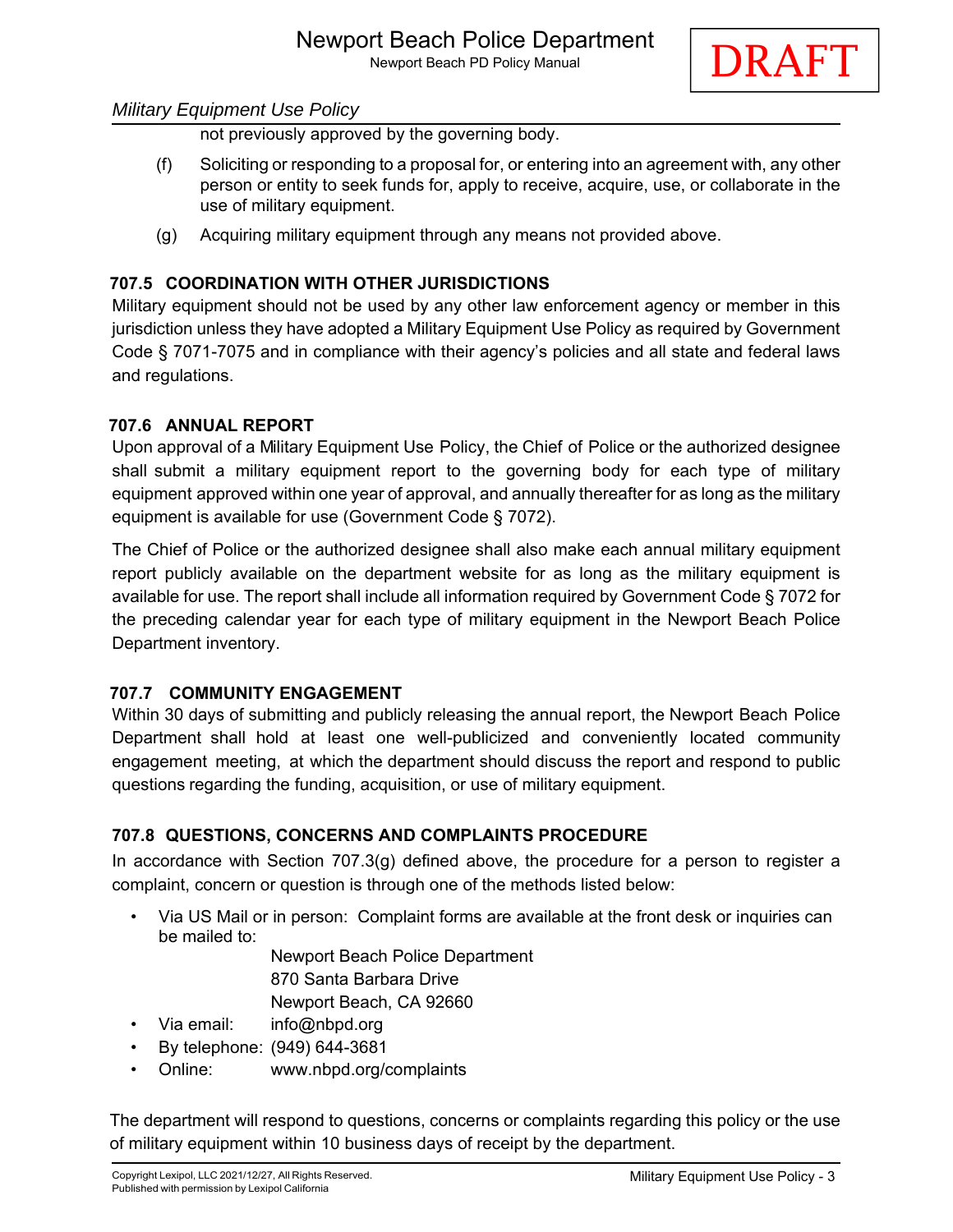

not previously approved by the governing body.

- (f) Soliciting or responding to a proposal for, or entering into an agreement with, any other person or entity to seek funds for, apply to receive, acquire, use, or collaborate in the use of military equipment.
- (g) Acquiring military equipment through any means not provided above.

## **707.5 COORDINATION WITH OTHER JURISDICTIONS**

Military equipment should not be used by any other law enforcement agency or member in this jurisdiction unless they have adopted a Military Equipment Use Policy as required by Government Code § 7071-7075 and in compliance with their agency's policies and all state and federal laws and regulations.

#### **707.6 ANNUAL REPORT**

Upon approval of a Military Equipment Use Policy, the Chief of Police or the authorized designee shall submit a military equipment report to the governing body for each type of military equipment approved within one year of approval, and annually thereafter for as long as the military equipment is available for use (Government Code § 7072).

The Chief of Police or the authorized designee shall also make each annual military equipment report publicly available on the department website for as long as the military equipment is available for use. The report shall include all information required by Government Code § 7072 for the preceding calendar year for each type of military equipment in the Newport Beach Police Department inventory.

#### **707.7 COMMUNITY ENGAGEMENT**

Within 30 days of submitting and publicly releasing the annual report, the Newport Beach Police Department shall hold at least one well-publicized and conveniently located community engagement meeting, at which the department should discuss the report and respond to public questions regarding the funding, acquisition, or use of military equipment.

#### **707.8 QUESTIONS, CONCERNS AND COMPLAINTS PROCEDURE**

In accordance with Section  $707.3(q)$  defined above, the procedure for a person to register a complaint, concern or question is through one of the methods listed below:

- Via US Mail or in person: Complaint forms are available at the front desk or inquiries can be mailed to:
	- Newport Beach Police Department 870 Santa Barbara Drive Newport Beach, CA 92660
	-
- Via email: info@nbpd.org
- By telephone: (949) 644-3681
- Online: www.nbpd.org/complaints

The department will respond to questions, concerns or complaints regarding this policy or the use of military equipment within 10 business days of receipt by the department.

DRAFT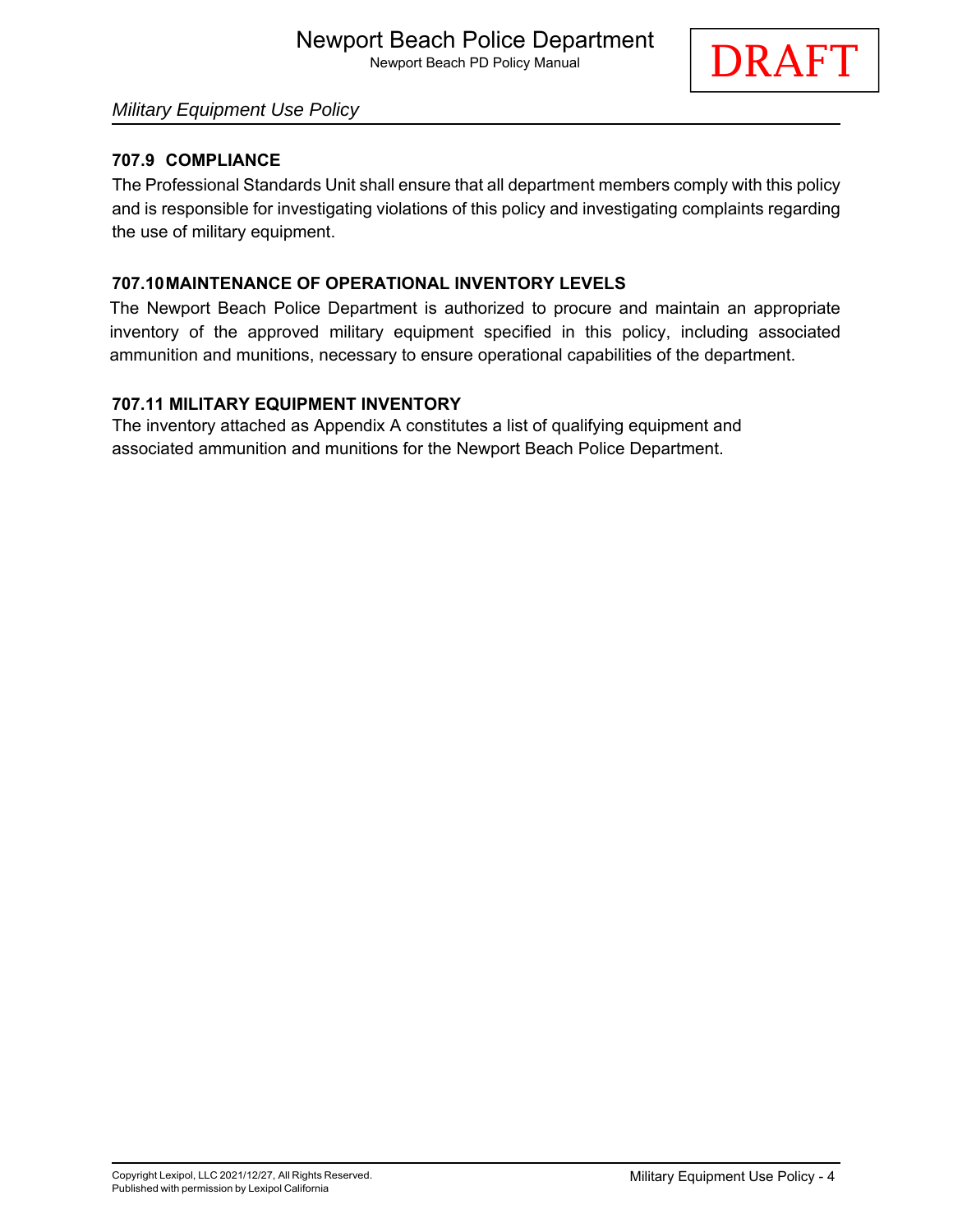

# *Military Equipment Use Policy*

#### **707.9 COMPLIANCE**

The Professional Standards Unit shall ensure that all department members comply with this policy and is responsible for investigating violations of this policy and investigating complaints regarding the use of military equipment.

#### **707.10 MAINTENANCE OF OPERATIONAL INVENTORY LEVELS**

The Newport Beach Police Department is authorized to procure and maintain an appropriate inventory of the approved military equipment specified in this policy, including associated ammunition and munitions, necessary to ensure operational capabilities of the department.

#### **707.11 MILITARY EQUIPMENT INVENTORY**

The inventory attached as Appendix A constitutes a list of qualifying equipment and associated ammunition and munitions for the Newport Beach Police Department.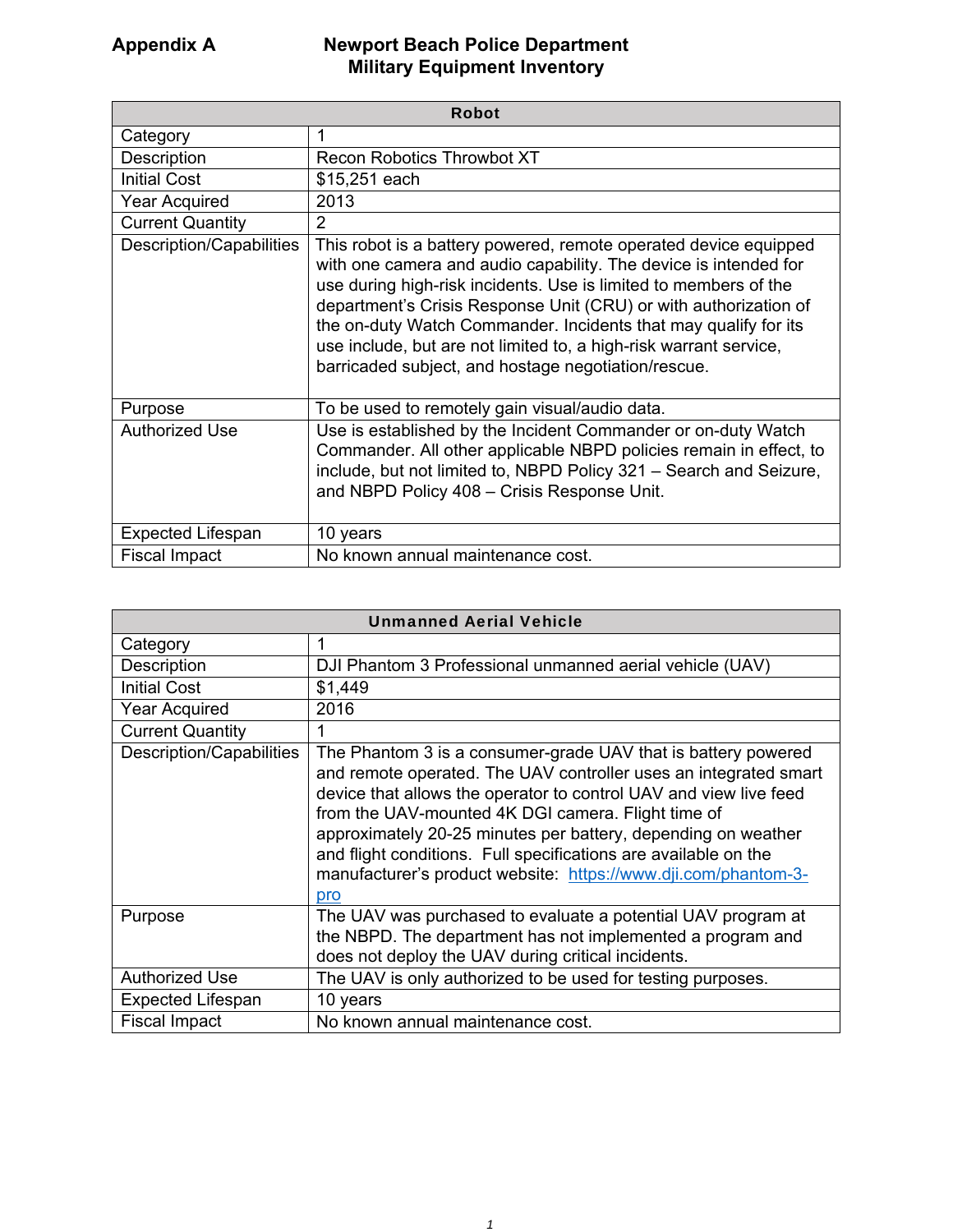| <b>Robot</b>             |                                                                                                                                                                                                                                                                                                                                                                                                                                                                             |
|--------------------------|-----------------------------------------------------------------------------------------------------------------------------------------------------------------------------------------------------------------------------------------------------------------------------------------------------------------------------------------------------------------------------------------------------------------------------------------------------------------------------|
| Category                 | 1                                                                                                                                                                                                                                                                                                                                                                                                                                                                           |
| Description              | <b>Recon Robotics Throwbot XT</b>                                                                                                                                                                                                                                                                                                                                                                                                                                           |
| <b>Initial Cost</b>      | \$15,251 each                                                                                                                                                                                                                                                                                                                                                                                                                                                               |
| <b>Year Acquired</b>     | 2013                                                                                                                                                                                                                                                                                                                                                                                                                                                                        |
| <b>Current Quantity</b>  | 2                                                                                                                                                                                                                                                                                                                                                                                                                                                                           |
| Description/Capabilities | This robot is a battery powered, remote operated device equipped<br>with one camera and audio capability. The device is intended for<br>use during high-risk incidents. Use is limited to members of the<br>department's Crisis Response Unit (CRU) or with authorization of<br>the on-duty Watch Commander. Incidents that may qualify for its<br>use include, but are not limited to, a high-risk warrant service,<br>barricaded subject, and hostage negotiation/rescue. |
| Purpose                  | To be used to remotely gain visual/audio data.                                                                                                                                                                                                                                                                                                                                                                                                                              |
| <b>Authorized Use</b>    | Use is established by the Incident Commander or on-duty Watch<br>Commander. All other applicable NBPD policies remain in effect, to<br>include, but not limited to, NBPD Policy 321 - Search and Seizure,<br>and NBPD Policy 408 - Crisis Response Unit.                                                                                                                                                                                                                    |
| <b>Expected Lifespan</b> | 10 years                                                                                                                                                                                                                                                                                                                                                                                                                                                                    |
| <b>Fiscal Impact</b>     | No known annual maintenance cost.                                                                                                                                                                                                                                                                                                                                                                                                                                           |

| <b>Unmanned Aerial Vehicle</b> |                                                                                                                                                                                                                                                                                                                                                                                                                                                                           |
|--------------------------------|---------------------------------------------------------------------------------------------------------------------------------------------------------------------------------------------------------------------------------------------------------------------------------------------------------------------------------------------------------------------------------------------------------------------------------------------------------------------------|
| Category                       |                                                                                                                                                                                                                                                                                                                                                                                                                                                                           |
| Description                    | DJI Phantom 3 Professional unmanned aerial vehicle (UAV)                                                                                                                                                                                                                                                                                                                                                                                                                  |
| <b>Initial Cost</b>            | \$1,449                                                                                                                                                                                                                                                                                                                                                                                                                                                                   |
| <b>Year Acquired</b>           | 2016                                                                                                                                                                                                                                                                                                                                                                                                                                                                      |
| <b>Current Quantity</b>        |                                                                                                                                                                                                                                                                                                                                                                                                                                                                           |
| Description/Capabilities       | The Phantom 3 is a consumer-grade UAV that is battery powered<br>and remote operated. The UAV controller uses an integrated smart<br>device that allows the operator to control UAV and view live feed<br>from the UAV-mounted 4K DGI camera. Flight time of<br>approximately 20-25 minutes per battery, depending on weather<br>and flight conditions. Full specifications are available on the<br>manufacturer's product website: https://www.dji.com/phantom-3-<br>pro |
| Purpose                        | The UAV was purchased to evaluate a potential UAV program at<br>the NBPD. The department has not implemented a program and<br>does not deploy the UAV during critical incidents.                                                                                                                                                                                                                                                                                          |
| <b>Authorized Use</b>          | The UAV is only authorized to be used for testing purposes.                                                                                                                                                                                                                                                                                                                                                                                                               |
| <b>Expected Lifespan</b>       | 10 years                                                                                                                                                                                                                                                                                                                                                                                                                                                                  |
| <b>Fiscal Impact</b>           | No known annual maintenance cost.                                                                                                                                                                                                                                                                                                                                                                                                                                         |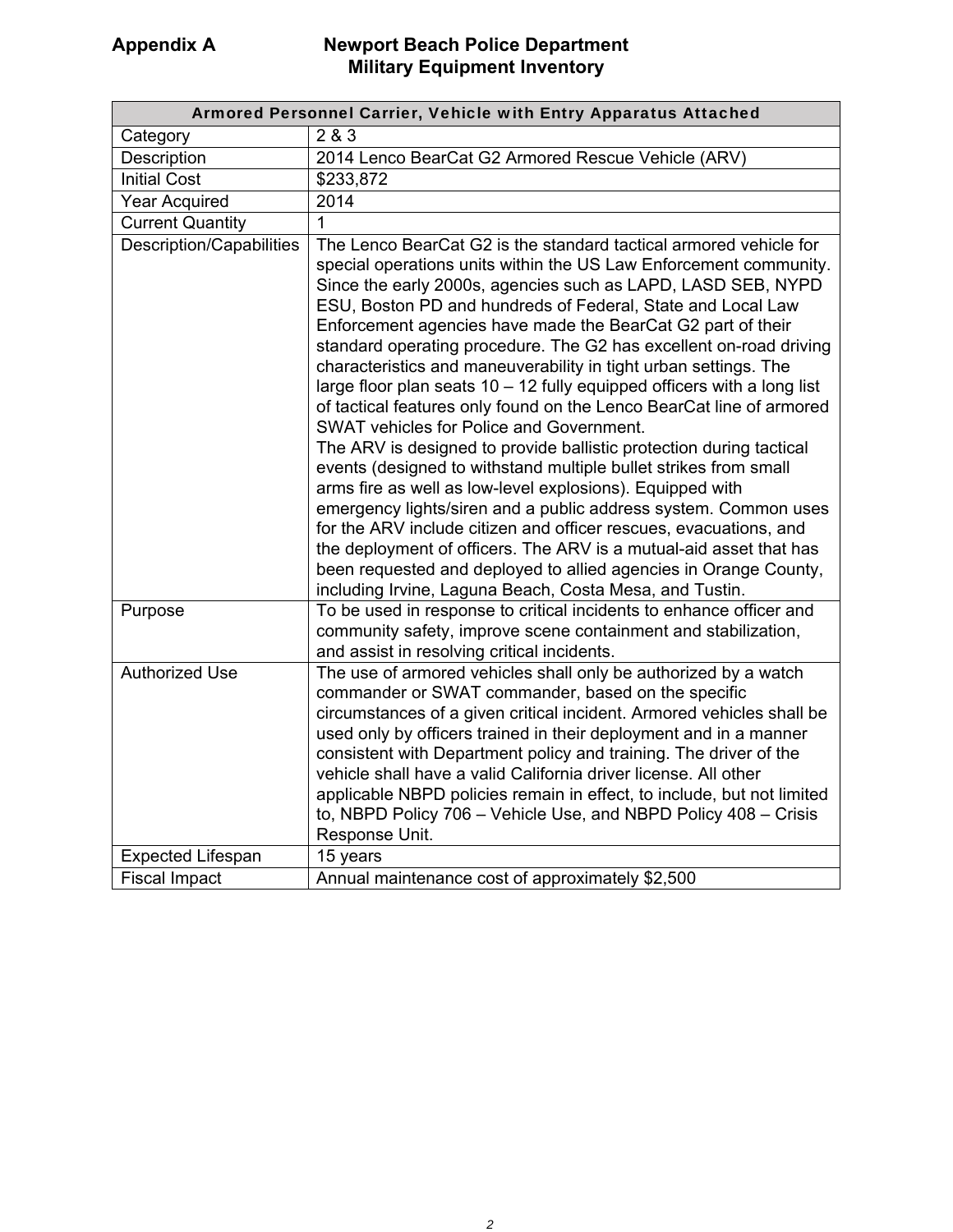| Armored Personnel Carrier, Vehicle with Entry Apparatus Attached |                                                                                                                                                                                                                                                                                                                                                                                                                                                                                                                                                                                                                                                                                                                                                                                                                                                                                                                                                                                                                                                                                                                                                                                                                                             |  |
|------------------------------------------------------------------|---------------------------------------------------------------------------------------------------------------------------------------------------------------------------------------------------------------------------------------------------------------------------------------------------------------------------------------------------------------------------------------------------------------------------------------------------------------------------------------------------------------------------------------------------------------------------------------------------------------------------------------------------------------------------------------------------------------------------------------------------------------------------------------------------------------------------------------------------------------------------------------------------------------------------------------------------------------------------------------------------------------------------------------------------------------------------------------------------------------------------------------------------------------------------------------------------------------------------------------------|--|
| Category                                                         | 2 & 3                                                                                                                                                                                                                                                                                                                                                                                                                                                                                                                                                                                                                                                                                                                                                                                                                                                                                                                                                                                                                                                                                                                                                                                                                                       |  |
| Description                                                      | 2014 Lenco BearCat G2 Armored Rescue Vehicle (ARV)                                                                                                                                                                                                                                                                                                                                                                                                                                                                                                                                                                                                                                                                                                                                                                                                                                                                                                                                                                                                                                                                                                                                                                                          |  |
| <b>Initial Cost</b>                                              | \$233,872                                                                                                                                                                                                                                                                                                                                                                                                                                                                                                                                                                                                                                                                                                                                                                                                                                                                                                                                                                                                                                                                                                                                                                                                                                   |  |
| <b>Year Acquired</b>                                             | 2014                                                                                                                                                                                                                                                                                                                                                                                                                                                                                                                                                                                                                                                                                                                                                                                                                                                                                                                                                                                                                                                                                                                                                                                                                                        |  |
| <b>Current Quantity</b>                                          | 1                                                                                                                                                                                                                                                                                                                                                                                                                                                                                                                                                                                                                                                                                                                                                                                                                                                                                                                                                                                                                                                                                                                                                                                                                                           |  |
| Description/Capabilities                                         | The Lenco BearCat G2 is the standard tactical armored vehicle for<br>special operations units within the US Law Enforcement community.<br>Since the early 2000s, agencies such as LAPD, LASD SEB, NYPD<br>ESU, Boston PD and hundreds of Federal, State and Local Law<br>Enforcement agencies have made the BearCat G2 part of their<br>standard operating procedure. The G2 has excellent on-road driving<br>characteristics and maneuverability in tight urban settings. The<br>large floor plan seats $10 - 12$ fully equipped officers with a long list<br>of tactical features only found on the Lenco BearCat line of armored<br><b>SWAT vehicles for Police and Government.</b><br>The ARV is designed to provide ballistic protection during tactical<br>events (designed to withstand multiple bullet strikes from small<br>arms fire as well as low-level explosions). Equipped with<br>emergency lights/siren and a public address system. Common uses<br>for the ARV include citizen and officer rescues, evacuations, and<br>the deployment of officers. The ARV is a mutual-aid asset that has<br>been requested and deployed to allied agencies in Orange County,<br>including Irvine, Laguna Beach, Costa Mesa, and Tustin. |  |
| Purpose                                                          | To be used in response to critical incidents to enhance officer and<br>community safety, improve scene containment and stabilization,<br>and assist in resolving critical incidents.                                                                                                                                                                                                                                                                                                                                                                                                                                                                                                                                                                                                                                                                                                                                                                                                                                                                                                                                                                                                                                                        |  |
| <b>Authorized Use</b>                                            | The use of armored vehicles shall only be authorized by a watch<br>commander or SWAT commander, based on the specific<br>circumstances of a given critical incident. Armored vehicles shall be<br>used only by officers trained in their deployment and in a manner<br>consistent with Department policy and training. The driver of the<br>vehicle shall have a valid California driver license. All other<br>applicable NBPD policies remain in effect, to include, but not limited<br>to, NBPD Policy 706 - Vehicle Use, and NBPD Policy 408 - Crisis<br>Response Unit.                                                                                                                                                                                                                                                                                                                                                                                                                                                                                                                                                                                                                                                                  |  |
| <b>Expected Lifespan</b>                                         | 15 years                                                                                                                                                                                                                                                                                                                                                                                                                                                                                                                                                                                                                                                                                                                                                                                                                                                                                                                                                                                                                                                                                                                                                                                                                                    |  |
| <b>Fiscal Impact</b>                                             | Annual maintenance cost of approximately \$2,500                                                                                                                                                                                                                                                                                                                                                                                                                                                                                                                                                                                                                                                                                                                                                                                                                                                                                                                                                                                                                                                                                                                                                                                            |  |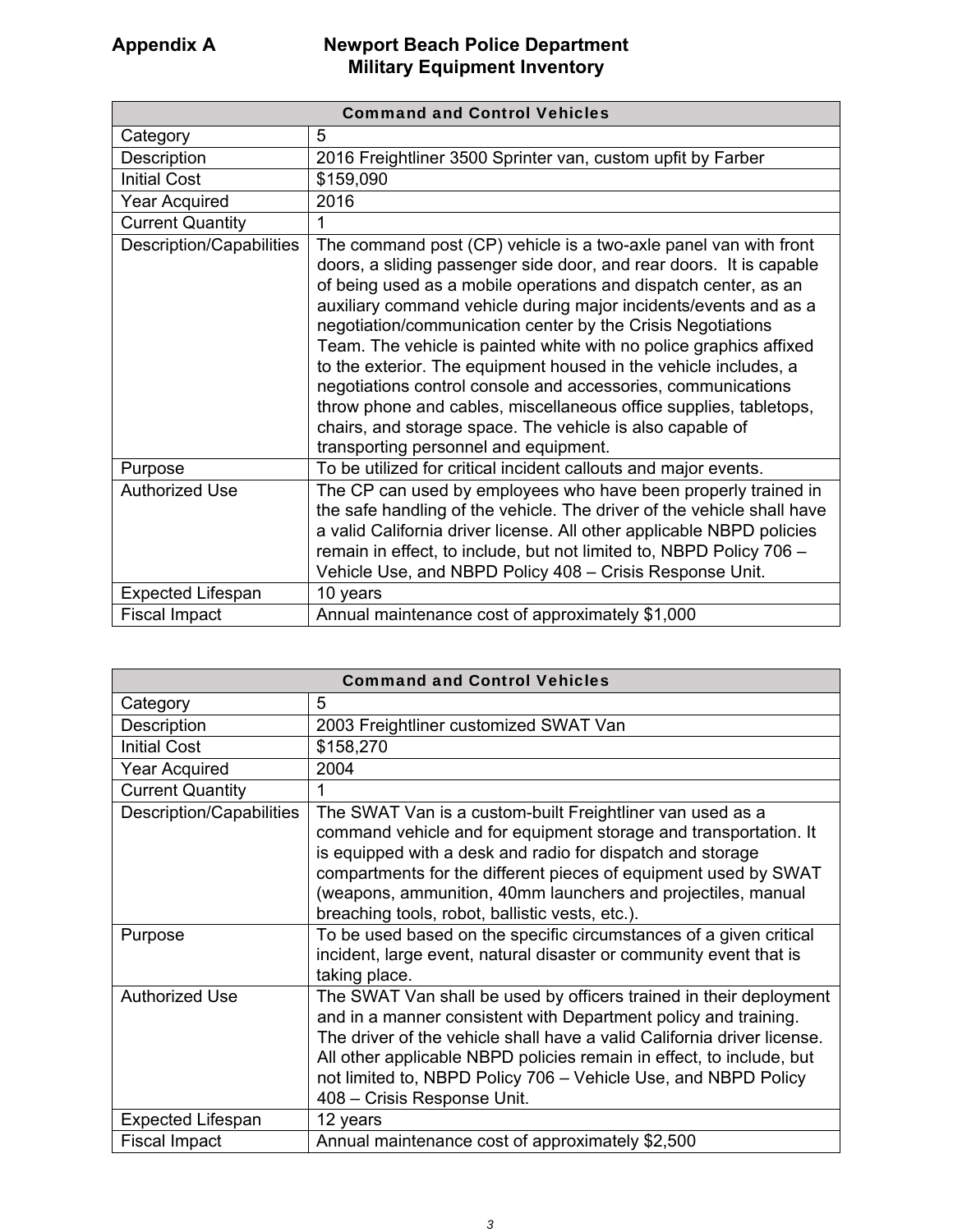| <b>Command and Control Vehicles</b> |                                                                                                                                                                                                                                                                                                                                                                                                                                                                                                                                                                                                                                                                                                                                    |
|-------------------------------------|------------------------------------------------------------------------------------------------------------------------------------------------------------------------------------------------------------------------------------------------------------------------------------------------------------------------------------------------------------------------------------------------------------------------------------------------------------------------------------------------------------------------------------------------------------------------------------------------------------------------------------------------------------------------------------------------------------------------------------|
| Category                            | 5                                                                                                                                                                                                                                                                                                                                                                                                                                                                                                                                                                                                                                                                                                                                  |
| Description                         | 2016 Freightliner 3500 Sprinter van, custom upfit by Farber                                                                                                                                                                                                                                                                                                                                                                                                                                                                                                                                                                                                                                                                        |
| <b>Initial Cost</b>                 | \$159,090                                                                                                                                                                                                                                                                                                                                                                                                                                                                                                                                                                                                                                                                                                                          |
| <b>Year Acquired</b>                | 2016                                                                                                                                                                                                                                                                                                                                                                                                                                                                                                                                                                                                                                                                                                                               |
| <b>Current Quantity</b>             | 1                                                                                                                                                                                                                                                                                                                                                                                                                                                                                                                                                                                                                                                                                                                                  |
| <b>Description/Capabilities</b>     | The command post (CP) vehicle is a two-axle panel van with front<br>doors, a sliding passenger side door, and rear doors. It is capable<br>of being used as a mobile operations and dispatch center, as an<br>auxiliary command vehicle during major incidents/events and as a<br>negotiation/communication center by the Crisis Negotiations<br>Team. The vehicle is painted white with no police graphics affixed<br>to the exterior. The equipment housed in the vehicle includes, a<br>negotiations control console and accessories, communications<br>throw phone and cables, miscellaneous office supplies, tabletops,<br>chairs, and storage space. The vehicle is also capable of<br>transporting personnel and equipment. |
| Purpose                             | To be utilized for critical incident callouts and major events.                                                                                                                                                                                                                                                                                                                                                                                                                                                                                                                                                                                                                                                                    |
| <b>Authorized Use</b>               | The CP can used by employees who have been properly trained in<br>the safe handling of the vehicle. The driver of the vehicle shall have<br>a valid California driver license. All other applicable NBPD policies<br>remain in effect, to include, but not limited to, NBPD Policy 706 -<br>Vehicle Use, and NBPD Policy 408 - Crisis Response Unit.                                                                                                                                                                                                                                                                                                                                                                               |
| <b>Expected Lifespan</b>            | 10 years                                                                                                                                                                                                                                                                                                                                                                                                                                                                                                                                                                                                                                                                                                                           |
| <b>Fiscal Impact</b>                | Annual maintenance cost of approximately \$1,000                                                                                                                                                                                                                                                                                                                                                                                                                                                                                                                                                                                                                                                                                   |

| <b>Command and Control Vehicles</b> |                                                                                                                                                                                                                                                                                                                                                                                           |
|-------------------------------------|-------------------------------------------------------------------------------------------------------------------------------------------------------------------------------------------------------------------------------------------------------------------------------------------------------------------------------------------------------------------------------------------|
| Category                            | 5                                                                                                                                                                                                                                                                                                                                                                                         |
| Description                         | 2003 Freightliner customized SWAT Van                                                                                                                                                                                                                                                                                                                                                     |
| <b>Initial Cost</b>                 | \$158,270                                                                                                                                                                                                                                                                                                                                                                                 |
| <b>Year Acquired</b>                | 2004                                                                                                                                                                                                                                                                                                                                                                                      |
| <b>Current Quantity</b>             | 1                                                                                                                                                                                                                                                                                                                                                                                         |
| Description/Capabilities            | The SWAT Van is a custom-built Freightliner van used as a<br>command vehicle and for equipment storage and transportation. It<br>is equipped with a desk and radio for dispatch and storage<br>compartments for the different pieces of equipment used by SWAT<br>(weapons, ammunition, 40mm launchers and projectiles, manual<br>breaching tools, robot, ballistic vests, etc.).         |
| Purpose                             | To be used based on the specific circumstances of a given critical<br>incident, large event, natural disaster or community event that is<br>taking place.                                                                                                                                                                                                                                 |
| <b>Authorized Use</b>               | The SWAT Van shall be used by officers trained in their deployment<br>and in a manner consistent with Department policy and training.<br>The driver of the vehicle shall have a valid California driver license.<br>All other applicable NBPD policies remain in effect, to include, but<br>not limited to, NBPD Policy 706 - Vehicle Use, and NBPD Policy<br>408 - Crisis Response Unit. |
| <b>Expected Lifespan</b>            | 12 years                                                                                                                                                                                                                                                                                                                                                                                  |
| <b>Fiscal Impact</b>                | Annual maintenance cost of approximately \$2,500                                                                                                                                                                                                                                                                                                                                          |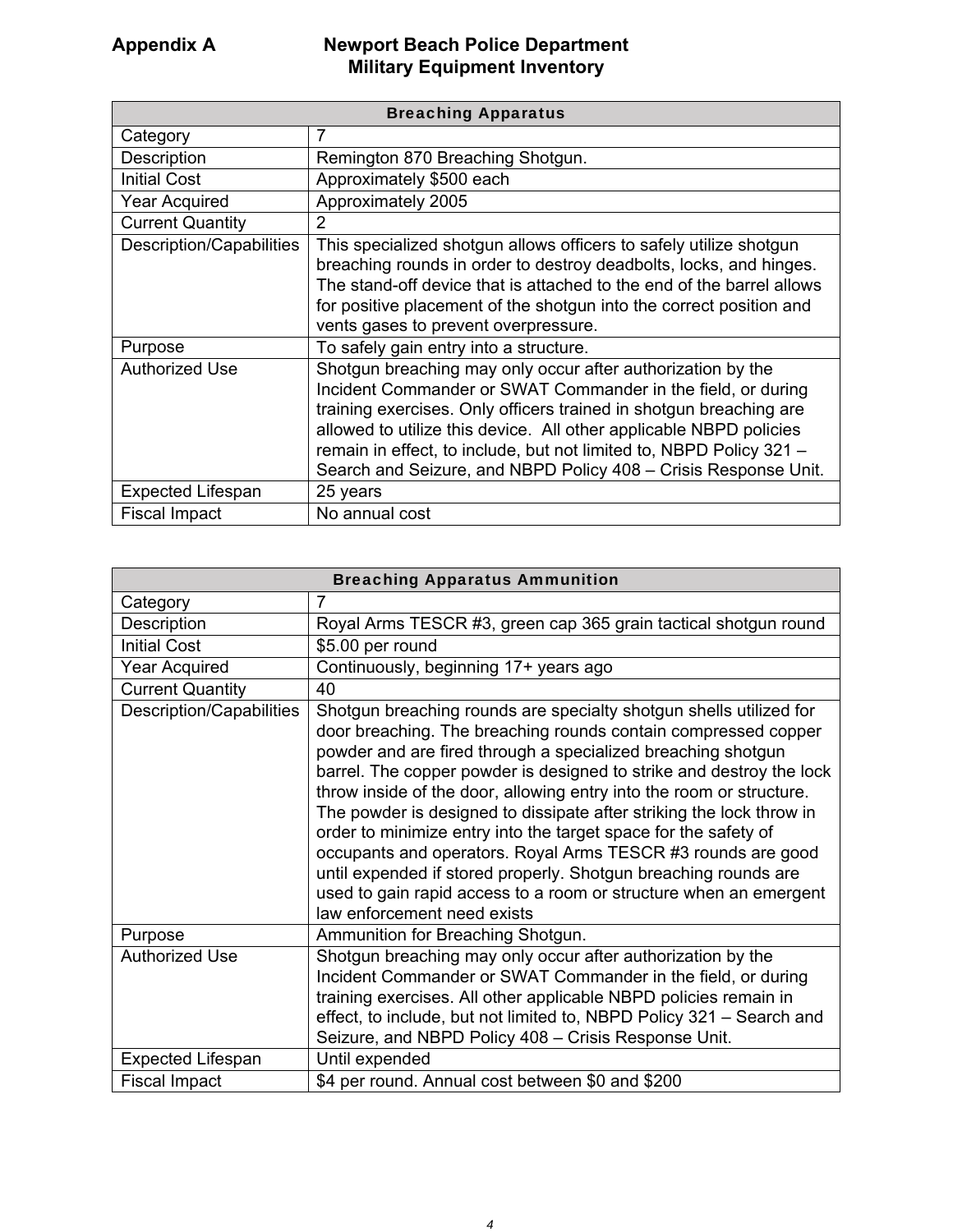| <b>Breaching Apparatus</b> |                                                                                                                                                                                                                                                                                                                                                                                                                   |
|----------------------------|-------------------------------------------------------------------------------------------------------------------------------------------------------------------------------------------------------------------------------------------------------------------------------------------------------------------------------------------------------------------------------------------------------------------|
| Category                   | 7                                                                                                                                                                                                                                                                                                                                                                                                                 |
| Description                | Remington 870 Breaching Shotgun.                                                                                                                                                                                                                                                                                                                                                                                  |
| <b>Initial Cost</b>        | Approximately \$500 each                                                                                                                                                                                                                                                                                                                                                                                          |
| <b>Year Acquired</b>       | Approximately 2005                                                                                                                                                                                                                                                                                                                                                                                                |
| <b>Current Quantity</b>    | 2                                                                                                                                                                                                                                                                                                                                                                                                                 |
| Description/Capabilities   | This specialized shotgun allows officers to safely utilize shotgun<br>breaching rounds in order to destroy deadbolts, locks, and hinges.<br>The stand-off device that is attached to the end of the barrel allows<br>for positive placement of the shotgun into the correct position and<br>vents gases to prevent overpressure.                                                                                  |
| Purpose                    | To safely gain entry into a structure.                                                                                                                                                                                                                                                                                                                                                                            |
| <b>Authorized Use</b>      | Shotgun breaching may only occur after authorization by the<br>Incident Commander or SWAT Commander in the field, or during<br>training exercises. Only officers trained in shotgun breaching are<br>allowed to utilize this device. All other applicable NBPD policies<br>remain in effect, to include, but not limited to, NBPD Policy 321 -<br>Search and Seizure, and NBPD Policy 408 - Crisis Response Unit. |
| <b>Expected Lifespan</b>   | 25 years                                                                                                                                                                                                                                                                                                                                                                                                          |
| <b>Fiscal Impact</b>       | No annual cost                                                                                                                                                                                                                                                                                                                                                                                                    |

| <b>Breaching Apparatus Ammunition</b> |                                                                                                                                                                                                                                                                                                                                                                                                                                                                                                                                                                                                                                                                                                                                        |
|---------------------------------------|----------------------------------------------------------------------------------------------------------------------------------------------------------------------------------------------------------------------------------------------------------------------------------------------------------------------------------------------------------------------------------------------------------------------------------------------------------------------------------------------------------------------------------------------------------------------------------------------------------------------------------------------------------------------------------------------------------------------------------------|
| Category                              | 7                                                                                                                                                                                                                                                                                                                                                                                                                                                                                                                                                                                                                                                                                                                                      |
| Description                           | Royal Arms TESCR #3, green cap 365 grain tactical shotgun round                                                                                                                                                                                                                                                                                                                                                                                                                                                                                                                                                                                                                                                                        |
| <b>Initial Cost</b>                   | \$5.00 per round                                                                                                                                                                                                                                                                                                                                                                                                                                                                                                                                                                                                                                                                                                                       |
| <b>Year Acquired</b>                  | Continuously, beginning 17+ years ago                                                                                                                                                                                                                                                                                                                                                                                                                                                                                                                                                                                                                                                                                                  |
| <b>Current Quantity</b>               | 40                                                                                                                                                                                                                                                                                                                                                                                                                                                                                                                                                                                                                                                                                                                                     |
| Description/Capabilities              | Shotgun breaching rounds are specialty shotgun shells utilized for<br>door breaching. The breaching rounds contain compressed copper<br>powder and are fired through a specialized breaching shotgun<br>barrel. The copper powder is designed to strike and destroy the lock<br>throw inside of the door, allowing entry into the room or structure.<br>The powder is designed to dissipate after striking the lock throw in<br>order to minimize entry into the target space for the safety of<br>occupants and operators. Royal Arms TESCR #3 rounds are good<br>until expended if stored properly. Shotgun breaching rounds are<br>used to gain rapid access to a room or structure when an emergent<br>law enforcement need exists |
| Purpose                               | Ammunition for Breaching Shotgun.                                                                                                                                                                                                                                                                                                                                                                                                                                                                                                                                                                                                                                                                                                      |
| <b>Authorized Use</b>                 | Shotgun breaching may only occur after authorization by the<br>Incident Commander or SWAT Commander in the field, or during<br>training exercises. All other applicable NBPD policies remain in<br>effect, to include, but not limited to, NBPD Policy 321 - Search and<br>Seizure, and NBPD Policy 408 - Crisis Response Unit.                                                                                                                                                                                                                                                                                                                                                                                                        |
| <b>Expected Lifespan</b>              | Until expended                                                                                                                                                                                                                                                                                                                                                                                                                                                                                                                                                                                                                                                                                                                         |
| <b>Fiscal Impact</b>                  | \$4 per round. Annual cost between \$0 and \$200                                                                                                                                                                                                                                                                                                                                                                                                                                                                                                                                                                                                                                                                                       |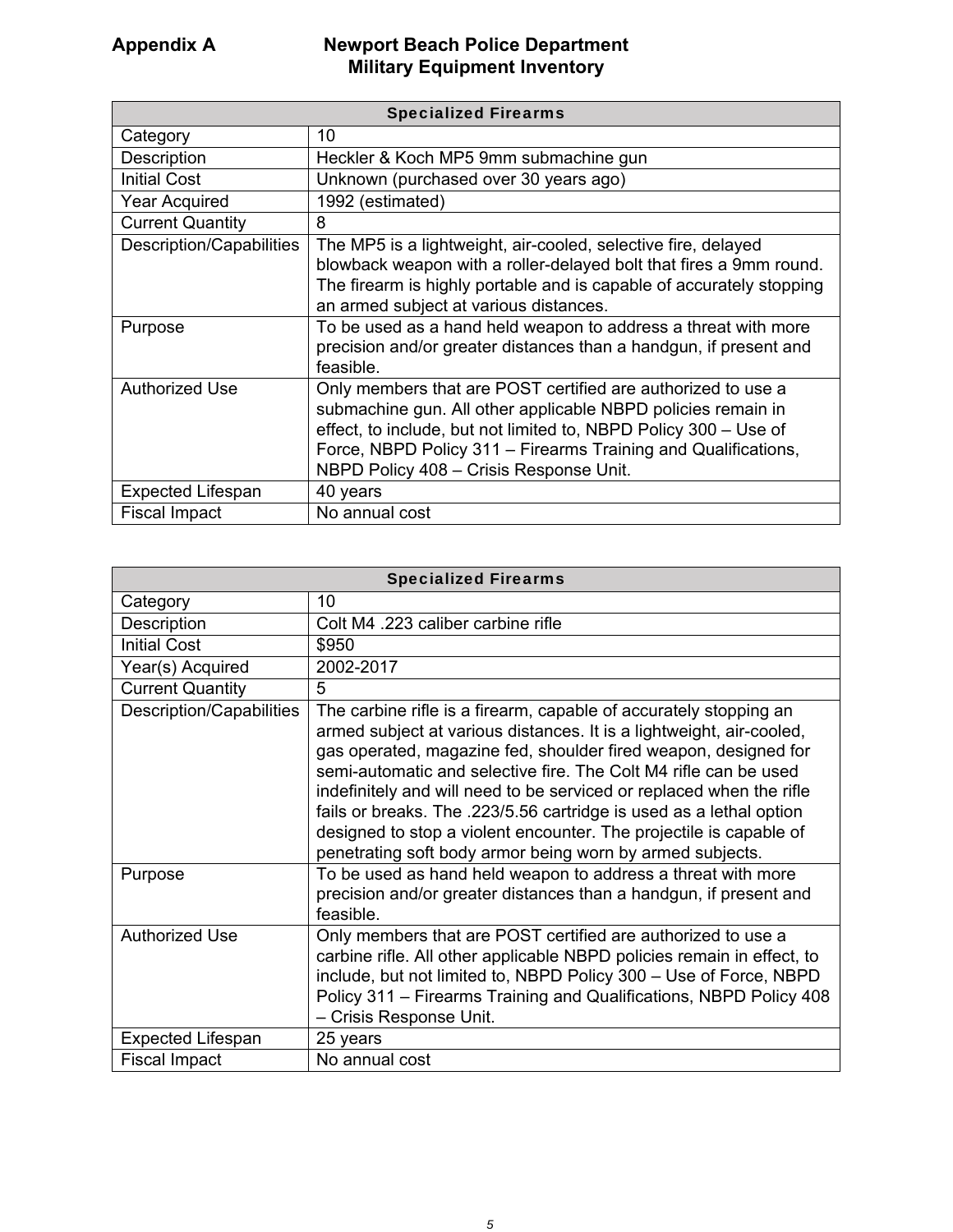| <b>Specialized Firearms</b> |                                                                                                                                                                                                                                                                                                               |
|-----------------------------|---------------------------------------------------------------------------------------------------------------------------------------------------------------------------------------------------------------------------------------------------------------------------------------------------------------|
| Category                    | 10                                                                                                                                                                                                                                                                                                            |
| Description                 | Heckler & Koch MP5 9mm submachine gun                                                                                                                                                                                                                                                                         |
| <b>Initial Cost</b>         | Unknown (purchased over 30 years ago)                                                                                                                                                                                                                                                                         |
| <b>Year Acquired</b>        | 1992 (estimated)                                                                                                                                                                                                                                                                                              |
| <b>Current Quantity</b>     | 8                                                                                                                                                                                                                                                                                                             |
| Description/Capabilities    | The MP5 is a lightweight, air-cooled, selective fire, delayed<br>blowback weapon with a roller-delayed bolt that fires a 9mm round.<br>The firearm is highly portable and is capable of accurately stopping<br>an armed subject at various distances.                                                         |
| Purpose                     | To be used as a hand held weapon to address a threat with more<br>precision and/or greater distances than a handgun, if present and<br>feasible.                                                                                                                                                              |
| <b>Authorized Use</b>       | Only members that are POST certified are authorized to use a<br>submachine gun. All other applicable NBPD policies remain in<br>effect, to include, but not limited to, NBPD Policy 300 - Use of<br>Force, NBPD Policy 311 - Firearms Training and Qualifications,<br>NBPD Policy 408 - Crisis Response Unit. |
| <b>Expected Lifespan</b>    | 40 years                                                                                                                                                                                                                                                                                                      |
| <b>Fiscal Impact</b>        | No annual cost                                                                                                                                                                                                                                                                                                |

| <b>Specialized Firearms</b> |                                                                                                                                                                                                                                                                                                                                                                                                                                                                                                                                                                    |
|-----------------------------|--------------------------------------------------------------------------------------------------------------------------------------------------------------------------------------------------------------------------------------------------------------------------------------------------------------------------------------------------------------------------------------------------------------------------------------------------------------------------------------------------------------------------------------------------------------------|
| Category                    | 10                                                                                                                                                                                                                                                                                                                                                                                                                                                                                                                                                                 |
| Description                 | Colt M4 .223 caliber carbine rifle                                                                                                                                                                                                                                                                                                                                                                                                                                                                                                                                 |
| <b>Initial Cost</b>         | \$950                                                                                                                                                                                                                                                                                                                                                                                                                                                                                                                                                              |
| Year(s) Acquired            | 2002-2017                                                                                                                                                                                                                                                                                                                                                                                                                                                                                                                                                          |
| <b>Current Quantity</b>     | 5                                                                                                                                                                                                                                                                                                                                                                                                                                                                                                                                                                  |
| Description/Capabilities    | The carbine rifle is a firearm, capable of accurately stopping an<br>armed subject at various distances. It is a lightweight, air-cooled,<br>gas operated, magazine fed, shoulder fired weapon, designed for<br>semi-automatic and selective fire. The Colt M4 rifle can be used<br>indefinitely and will need to be serviced or replaced when the rifle<br>fails or breaks. The .223/5.56 cartridge is used as a lethal option<br>designed to stop a violent encounter. The projectile is capable of<br>penetrating soft body armor being worn by armed subjects. |
| Purpose                     | To be used as hand held weapon to address a threat with more<br>precision and/or greater distances than a handgun, if present and<br>feasible.                                                                                                                                                                                                                                                                                                                                                                                                                     |
| <b>Authorized Use</b>       | Only members that are POST certified are authorized to use a<br>carbine rifle. All other applicable NBPD policies remain in effect, to<br>include, but not limited to, NBPD Policy 300 - Use of Force, NBPD<br>Policy 311 – Firearms Training and Qualifications, NBPD Policy 408<br>- Crisis Response Unit.                                                                                                                                                                                                                                                       |
| <b>Expected Lifespan</b>    | 25 years                                                                                                                                                                                                                                                                                                                                                                                                                                                                                                                                                           |
| <b>Fiscal Impact</b>        | No annual cost                                                                                                                                                                                                                                                                                                                                                                                                                                                                                                                                                     |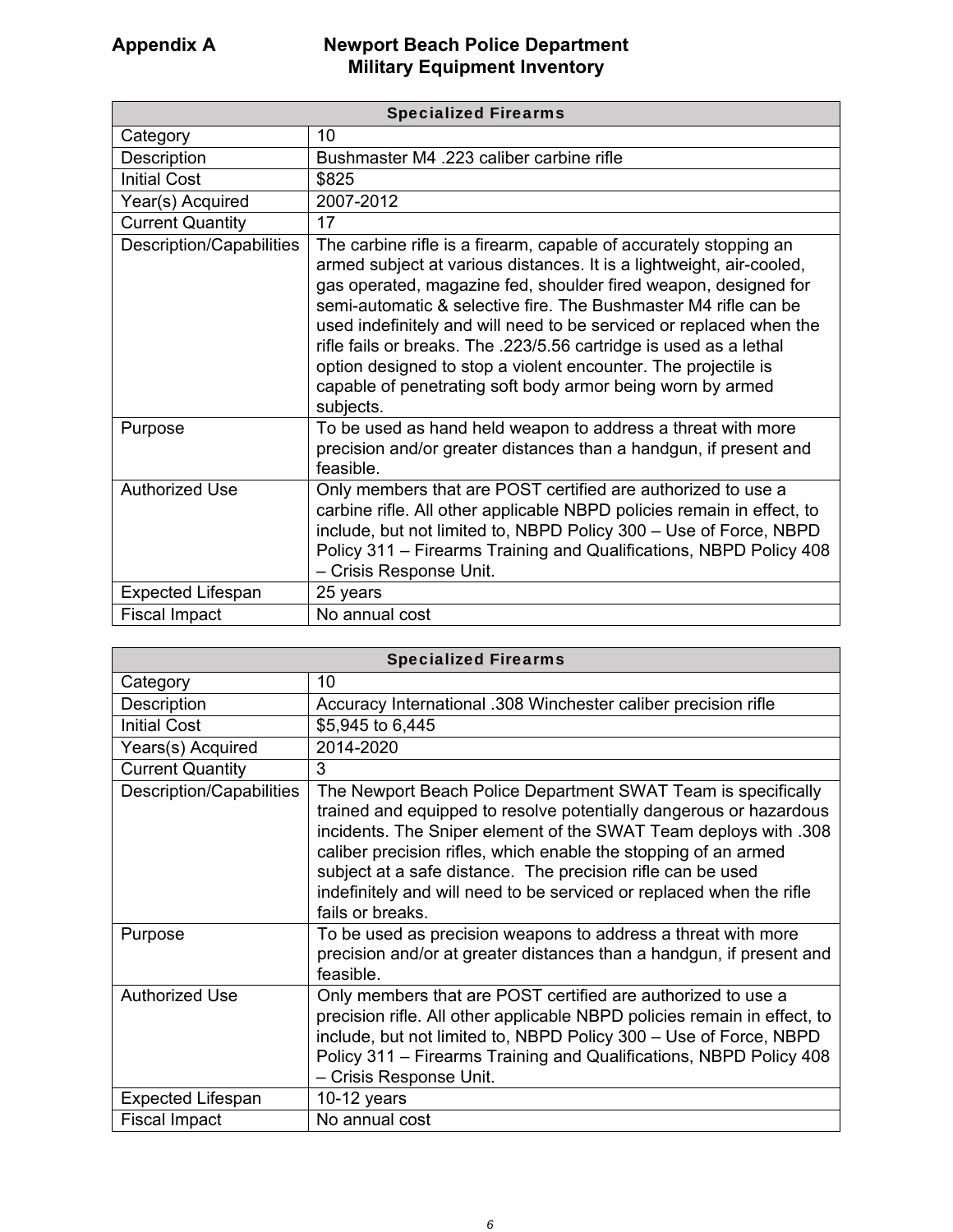| <b>Specialized Firearms</b> |                                                                                                                                                                                                                                                                                                                                                                                                                                                                                                                                                                           |
|-----------------------------|---------------------------------------------------------------------------------------------------------------------------------------------------------------------------------------------------------------------------------------------------------------------------------------------------------------------------------------------------------------------------------------------------------------------------------------------------------------------------------------------------------------------------------------------------------------------------|
| Category                    | 10                                                                                                                                                                                                                                                                                                                                                                                                                                                                                                                                                                        |
| Description                 | Bushmaster M4 .223 caliber carbine rifle                                                                                                                                                                                                                                                                                                                                                                                                                                                                                                                                  |
| <b>Initial Cost</b>         | \$825                                                                                                                                                                                                                                                                                                                                                                                                                                                                                                                                                                     |
| Year(s) Acquired            | 2007-2012                                                                                                                                                                                                                                                                                                                                                                                                                                                                                                                                                                 |
| <b>Current Quantity</b>     | 17                                                                                                                                                                                                                                                                                                                                                                                                                                                                                                                                                                        |
| Description/Capabilities    | The carbine rifle is a firearm, capable of accurately stopping an<br>armed subject at various distances. It is a lightweight, air-cooled,<br>gas operated, magazine fed, shoulder fired weapon, designed for<br>semi-automatic & selective fire. The Bushmaster M4 rifle can be<br>used indefinitely and will need to be serviced or replaced when the<br>rifle fails or breaks. The .223/5.56 cartridge is used as a lethal<br>option designed to stop a violent encounter. The projectile is<br>capable of penetrating soft body armor being worn by armed<br>subjects. |
| Purpose                     | To be used as hand held weapon to address a threat with more<br>precision and/or greater distances than a handgun, if present and<br>feasible.                                                                                                                                                                                                                                                                                                                                                                                                                            |
| <b>Authorized Use</b>       | Only members that are POST certified are authorized to use a<br>carbine rifle. All other applicable NBPD policies remain in effect, to<br>include, but not limited to, NBPD Policy 300 - Use of Force, NBPD<br>Policy 311 - Firearms Training and Qualifications, NBPD Policy 408<br>- Crisis Response Unit.                                                                                                                                                                                                                                                              |
| <b>Expected Lifespan</b>    | 25 years                                                                                                                                                                                                                                                                                                                                                                                                                                                                                                                                                                  |
| <b>Fiscal Impact</b>        | No annual cost                                                                                                                                                                                                                                                                                                                                                                                                                                                                                                                                                            |

| <b>Specialized Firearms</b> |                                                                                                                                                                                                                                                                                                                                                                                                                                       |
|-----------------------------|---------------------------------------------------------------------------------------------------------------------------------------------------------------------------------------------------------------------------------------------------------------------------------------------------------------------------------------------------------------------------------------------------------------------------------------|
| Category                    | 10                                                                                                                                                                                                                                                                                                                                                                                                                                    |
| Description                 | Accuracy International .308 Winchester caliber precision rifle                                                                                                                                                                                                                                                                                                                                                                        |
| <b>Initial Cost</b>         | \$5,945 to 6,445                                                                                                                                                                                                                                                                                                                                                                                                                      |
| Years(s) Acquired           | 2014-2020                                                                                                                                                                                                                                                                                                                                                                                                                             |
| <b>Current Quantity</b>     | 3                                                                                                                                                                                                                                                                                                                                                                                                                                     |
| Description/Capabilities    | The Newport Beach Police Department SWAT Team is specifically<br>trained and equipped to resolve potentially dangerous or hazardous<br>incidents. The Sniper element of the SWAT Team deploys with .308<br>caliber precision rifles, which enable the stopping of an armed<br>subject at a safe distance. The precision rifle can be used<br>indefinitely and will need to be serviced or replaced when the rifle<br>fails or breaks. |
| Purpose                     | To be used as precision weapons to address a threat with more<br>precision and/or at greater distances than a handgun, if present and<br>feasible.                                                                                                                                                                                                                                                                                    |
| <b>Authorized Use</b>       | Only members that are POST certified are authorized to use a<br>precision rifle. All other applicable NBPD policies remain in effect, to<br>include, but not limited to, NBPD Policy 300 - Use of Force, NBPD<br>Policy 311 - Firearms Training and Qualifications, NBPD Policy 408<br>- Crisis Response Unit.                                                                                                                        |
| <b>Expected Lifespan</b>    | 10-12 years                                                                                                                                                                                                                                                                                                                                                                                                                           |
| <b>Fiscal Impact</b>        | No annual cost                                                                                                                                                                                                                                                                                                                                                                                                                        |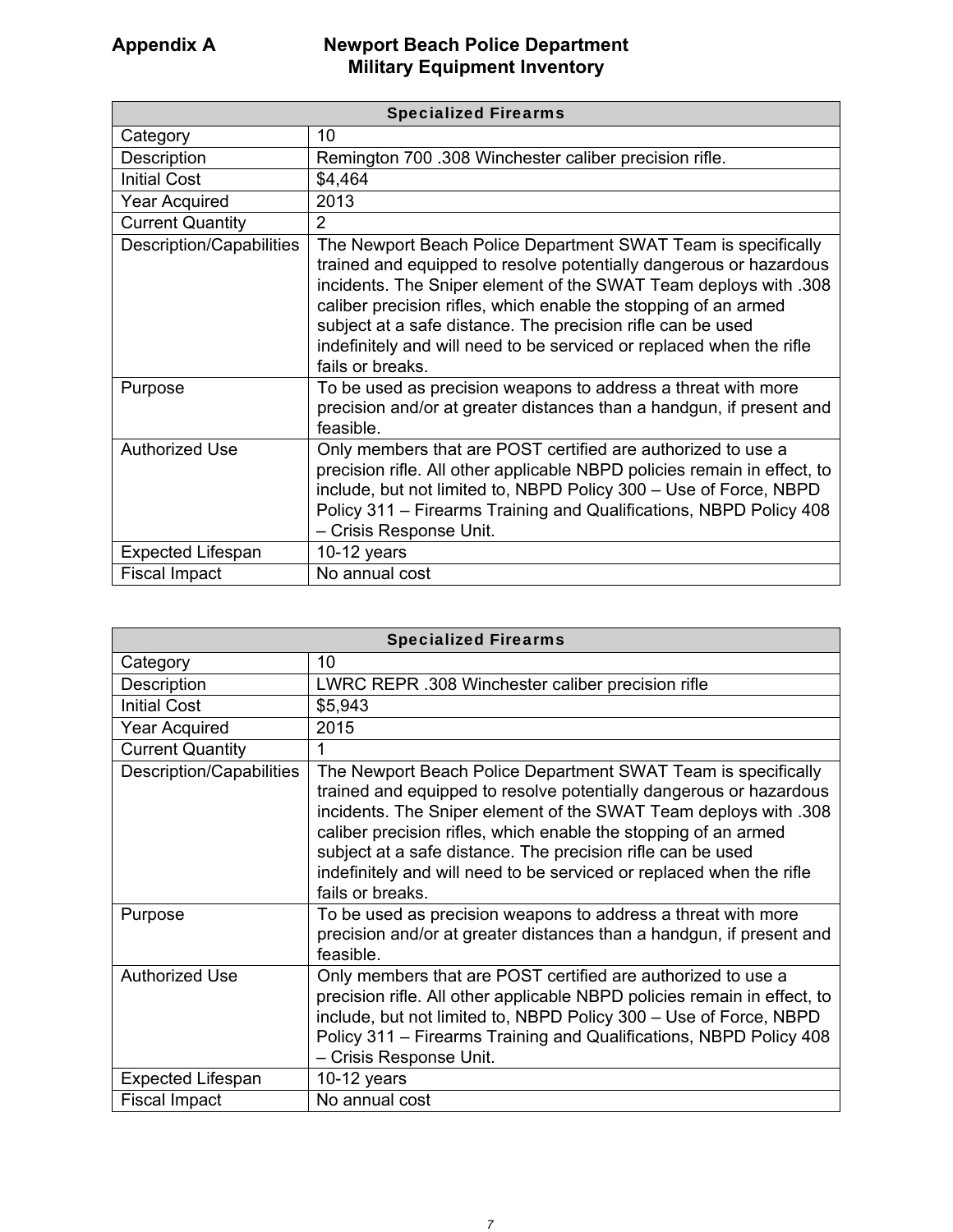| <b>Specialized Firearms</b> |                                                                                                                                                                                                                                                                                                                                                                                                                                       |
|-----------------------------|---------------------------------------------------------------------------------------------------------------------------------------------------------------------------------------------------------------------------------------------------------------------------------------------------------------------------------------------------------------------------------------------------------------------------------------|
| Category                    | 10                                                                                                                                                                                                                                                                                                                                                                                                                                    |
| Description                 | Remington 700 .308 Winchester caliber precision rifle.                                                                                                                                                                                                                                                                                                                                                                                |
| <b>Initial Cost</b>         | \$4,464                                                                                                                                                                                                                                                                                                                                                                                                                               |
| <b>Year Acquired</b>        | 2013                                                                                                                                                                                                                                                                                                                                                                                                                                  |
| <b>Current Quantity</b>     | $\overline{2}$                                                                                                                                                                                                                                                                                                                                                                                                                        |
| Description/Capabilities    | The Newport Beach Police Department SWAT Team is specifically<br>trained and equipped to resolve potentially dangerous or hazardous<br>incidents. The Sniper element of the SWAT Team deploys with .308<br>caliber precision rifles, which enable the stopping of an armed<br>subject at a safe distance. The precision rifle can be used<br>indefinitely and will need to be serviced or replaced when the rifle<br>fails or breaks. |
| Purpose                     | To be used as precision weapons to address a threat with more<br>precision and/or at greater distances than a handgun, if present and<br>feasible.                                                                                                                                                                                                                                                                                    |
| <b>Authorized Use</b>       | Only members that are POST certified are authorized to use a<br>precision rifle. All other applicable NBPD policies remain in effect, to<br>include, but not limited to, NBPD Policy 300 - Use of Force, NBPD<br>Policy 311 – Firearms Training and Qualifications, NBPD Policy 408<br>- Crisis Response Unit.                                                                                                                        |
| <b>Expected Lifespan</b>    | 10-12 years                                                                                                                                                                                                                                                                                                                                                                                                                           |
| <b>Fiscal Impact</b>        | No annual cost                                                                                                                                                                                                                                                                                                                                                                                                                        |

| <b>Specialized Firearms</b> |                                                                                                                                                                                                                                                                                                                                                                                                                                       |
|-----------------------------|---------------------------------------------------------------------------------------------------------------------------------------------------------------------------------------------------------------------------------------------------------------------------------------------------------------------------------------------------------------------------------------------------------------------------------------|
| Category                    | 10                                                                                                                                                                                                                                                                                                                                                                                                                                    |
| Description                 | LWRC REPR .308 Winchester caliber precision rifle                                                                                                                                                                                                                                                                                                                                                                                     |
| <b>Initial Cost</b>         | \$5,943                                                                                                                                                                                                                                                                                                                                                                                                                               |
| <b>Year Acquired</b>        | 2015                                                                                                                                                                                                                                                                                                                                                                                                                                  |
| <b>Current Quantity</b>     | 1                                                                                                                                                                                                                                                                                                                                                                                                                                     |
| Description/Capabilities    | The Newport Beach Police Department SWAT Team is specifically<br>trained and equipped to resolve potentially dangerous or hazardous<br>incidents. The Sniper element of the SWAT Team deploys with .308<br>caliber precision rifles, which enable the stopping of an armed<br>subject at a safe distance. The precision rifle can be used<br>indefinitely and will need to be serviced or replaced when the rifle<br>fails or breaks. |
| Purpose                     | To be used as precision weapons to address a threat with more<br>precision and/or at greater distances than a handgun, if present and<br>feasible.                                                                                                                                                                                                                                                                                    |
| <b>Authorized Use</b>       | Only members that are POST certified are authorized to use a<br>precision rifle. All other applicable NBPD policies remain in effect, to<br>include, but not limited to, NBPD Policy 300 - Use of Force, NBPD<br>Policy 311 – Firearms Training and Qualifications, NBPD Policy 408<br>- Crisis Response Unit.                                                                                                                        |
| <b>Expected Lifespan</b>    | 10-12 years                                                                                                                                                                                                                                                                                                                                                                                                                           |
| <b>Fiscal Impact</b>        | No annual cost                                                                                                                                                                                                                                                                                                                                                                                                                        |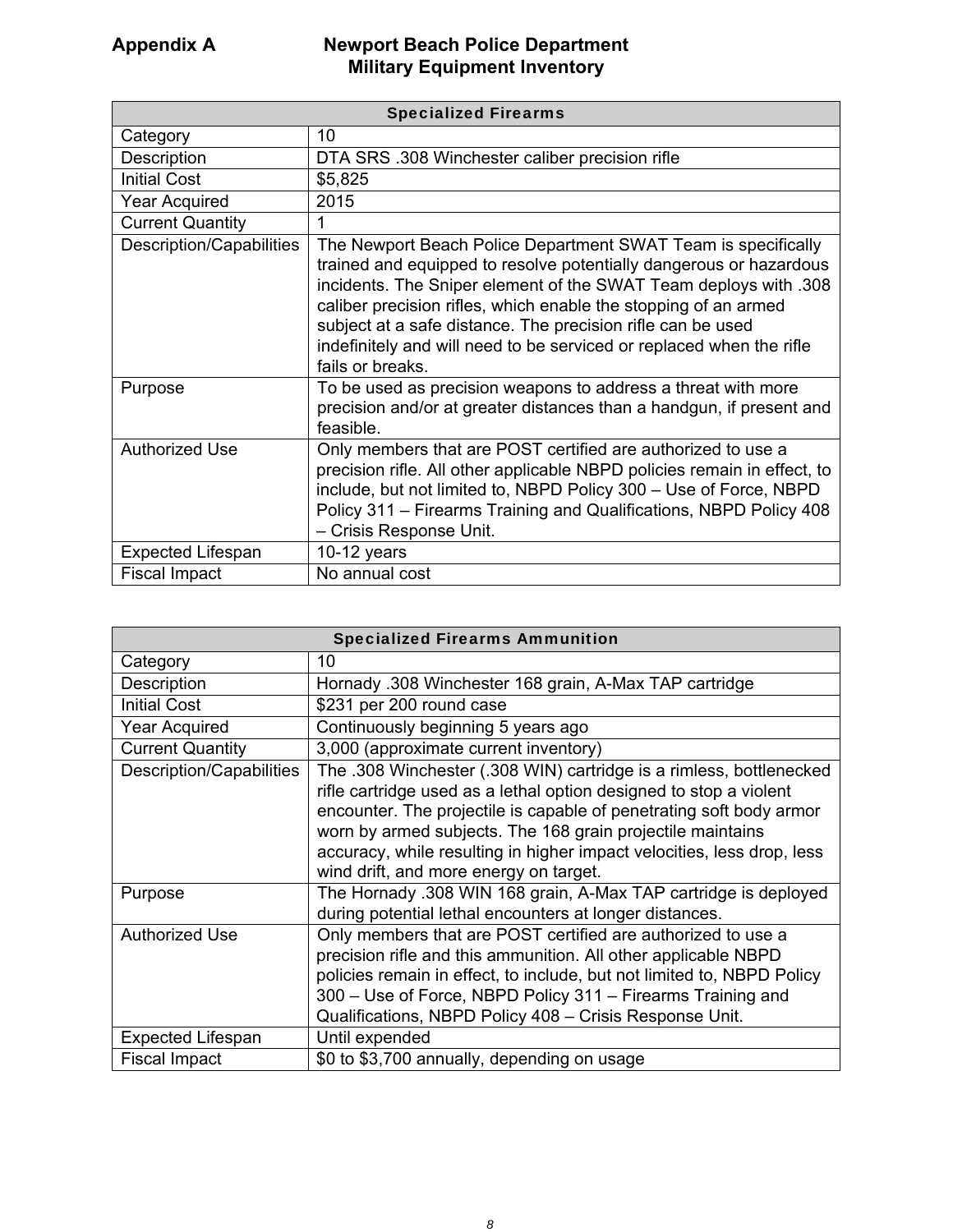| <b>Specialized Firearms</b> |                                                                                                                                                                                                                                                                                                                                                                                                                                       |
|-----------------------------|---------------------------------------------------------------------------------------------------------------------------------------------------------------------------------------------------------------------------------------------------------------------------------------------------------------------------------------------------------------------------------------------------------------------------------------|
| Category                    | 10                                                                                                                                                                                                                                                                                                                                                                                                                                    |
| Description                 | DTA SRS .308 Winchester caliber precision rifle                                                                                                                                                                                                                                                                                                                                                                                       |
| <b>Initial Cost</b>         | \$5,825                                                                                                                                                                                                                                                                                                                                                                                                                               |
| <b>Year Acquired</b>        | 2015                                                                                                                                                                                                                                                                                                                                                                                                                                  |
| <b>Current Quantity</b>     |                                                                                                                                                                                                                                                                                                                                                                                                                                       |
| Description/Capabilities    | The Newport Beach Police Department SWAT Team is specifically<br>trained and equipped to resolve potentially dangerous or hazardous<br>incidents. The Sniper element of the SWAT Team deploys with .308<br>caliber precision rifles, which enable the stopping of an armed<br>subject at a safe distance. The precision rifle can be used<br>indefinitely and will need to be serviced or replaced when the rifle<br>fails or breaks. |
| Purpose                     | To be used as precision weapons to address a threat with more<br>precision and/or at greater distances than a handgun, if present and<br>feasible.                                                                                                                                                                                                                                                                                    |
| <b>Authorized Use</b>       | Only members that are POST certified are authorized to use a<br>precision rifle. All other applicable NBPD policies remain in effect, to<br>include, but not limited to, NBPD Policy 300 - Use of Force, NBPD<br>Policy 311 - Firearms Training and Qualifications, NBPD Policy 408<br>- Crisis Response Unit.                                                                                                                        |
| <b>Expected Lifespan</b>    | 10-12 years                                                                                                                                                                                                                                                                                                                                                                                                                           |
| <b>Fiscal Impact</b>        | No annual cost                                                                                                                                                                                                                                                                                                                                                                                                                        |

| <b>Specialized Firearms Ammunition</b> |                                                                                                                                                                                                                                                                                                                                                                                                    |
|----------------------------------------|----------------------------------------------------------------------------------------------------------------------------------------------------------------------------------------------------------------------------------------------------------------------------------------------------------------------------------------------------------------------------------------------------|
| Category                               | 10                                                                                                                                                                                                                                                                                                                                                                                                 |
| Description                            | Hornady .308 Winchester 168 grain, A-Max TAP cartridge                                                                                                                                                                                                                                                                                                                                             |
| <b>Initial Cost</b>                    | \$231 per 200 round case                                                                                                                                                                                                                                                                                                                                                                           |
| <b>Year Acquired</b>                   | Continuously beginning 5 years ago                                                                                                                                                                                                                                                                                                                                                                 |
| <b>Current Quantity</b>                | 3,000 (approximate current inventory)                                                                                                                                                                                                                                                                                                                                                              |
| Description/Capabilities               | The .308 Winchester (.308 WIN) cartridge is a rimless, bottlenecked<br>rifle cartridge used as a lethal option designed to stop a violent<br>encounter. The projectile is capable of penetrating soft body armor<br>worn by armed subjects. The 168 grain projectile maintains<br>accuracy, while resulting in higher impact velocities, less drop, less<br>wind drift, and more energy on target. |
| Purpose                                | The Hornady .308 WIN 168 grain, A-Max TAP cartridge is deployed<br>during potential lethal encounters at longer distances.                                                                                                                                                                                                                                                                         |
| <b>Authorized Use</b>                  | Only members that are POST certified are authorized to use a<br>precision rifle and this ammunition. All other applicable NBPD<br>policies remain in effect, to include, but not limited to, NBPD Policy<br>300 - Use of Force, NBPD Policy 311 - Firearms Training and<br>Qualifications, NBPD Policy 408 - Crisis Response Unit.                                                                 |
| <b>Expected Lifespan</b>               | Until expended                                                                                                                                                                                                                                                                                                                                                                                     |
| <b>Fiscal Impact</b>                   | \$0 to \$3,700 annually, depending on usage                                                                                                                                                                                                                                                                                                                                                        |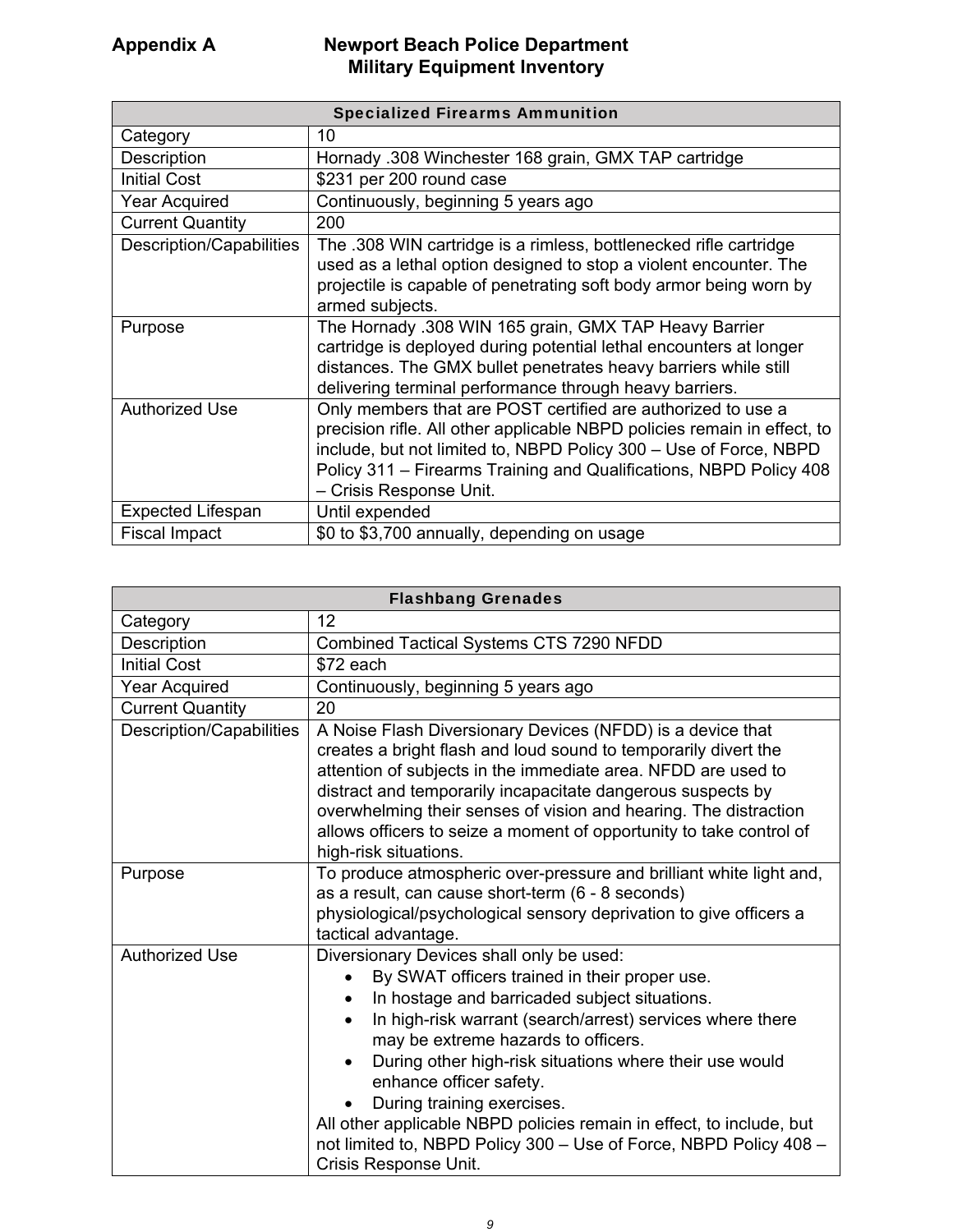| <b>Specialized Firearms Ammunition</b> |                                                                                                                                                                                                                                                                                                                |
|----------------------------------------|----------------------------------------------------------------------------------------------------------------------------------------------------------------------------------------------------------------------------------------------------------------------------------------------------------------|
| Category                               | 10                                                                                                                                                                                                                                                                                                             |
| Description                            | Hornady .308 Winchester 168 grain, GMX TAP cartridge                                                                                                                                                                                                                                                           |
| <b>Initial Cost</b>                    | \$231 per 200 round case                                                                                                                                                                                                                                                                                       |
| <b>Year Acquired</b>                   | Continuously, beginning 5 years ago                                                                                                                                                                                                                                                                            |
| <b>Current Quantity</b>                | 200                                                                                                                                                                                                                                                                                                            |
| Description/Capabilities               | The .308 WIN cartridge is a rimless, bottlenecked rifle cartridge<br>used as a lethal option designed to stop a violent encounter. The<br>projectile is capable of penetrating soft body armor being worn by<br>armed subjects.                                                                                |
| Purpose                                | The Hornady .308 WIN 165 grain, GMX TAP Heavy Barrier<br>cartridge is deployed during potential lethal encounters at longer<br>distances. The GMX bullet penetrates heavy barriers while still<br>delivering terminal performance through heavy barriers.                                                      |
| <b>Authorized Use</b>                  | Only members that are POST certified are authorized to use a<br>precision rifle. All other applicable NBPD policies remain in effect, to<br>include, but not limited to, NBPD Policy 300 - Use of Force, NBPD<br>Policy 311 – Firearms Training and Qualifications, NBPD Policy 408<br>– Crisis Response Unit. |
| <b>Expected Lifespan</b>               | Until expended                                                                                                                                                                                                                                                                                                 |
| <b>Fiscal Impact</b>                   | \$0 to \$3,700 annually, depending on usage                                                                                                                                                                                                                                                                    |

| <b>Flashbang Grenades</b> |                                                                                                                                                                                                                                                                                                                                                                                                                                                                                                                                                                                              |
|---------------------------|----------------------------------------------------------------------------------------------------------------------------------------------------------------------------------------------------------------------------------------------------------------------------------------------------------------------------------------------------------------------------------------------------------------------------------------------------------------------------------------------------------------------------------------------------------------------------------------------|
| Category                  | 12                                                                                                                                                                                                                                                                                                                                                                                                                                                                                                                                                                                           |
| Description               | <b>Combined Tactical Systems CTS 7290 NFDD</b>                                                                                                                                                                                                                                                                                                                                                                                                                                                                                                                                               |
| <b>Initial Cost</b>       | \$72 each                                                                                                                                                                                                                                                                                                                                                                                                                                                                                                                                                                                    |
| <b>Year Acquired</b>      | Continuously, beginning 5 years ago                                                                                                                                                                                                                                                                                                                                                                                                                                                                                                                                                          |
| <b>Current Quantity</b>   | 20                                                                                                                                                                                                                                                                                                                                                                                                                                                                                                                                                                                           |
| Description/Capabilities  | A Noise Flash Diversionary Devices (NFDD) is a device that<br>creates a bright flash and loud sound to temporarily divert the<br>attention of subjects in the immediate area. NFDD are used to<br>distract and temporarily incapacitate dangerous suspects by<br>overwhelming their senses of vision and hearing. The distraction<br>allows officers to seize a moment of opportunity to take control of<br>high-risk situations.                                                                                                                                                            |
| Purpose                   | To produce atmospheric over-pressure and brilliant white light and,<br>as a result, can cause short-term (6 - 8 seconds)<br>physiological/psychological sensory deprivation to give officers a<br>tactical advantage.                                                                                                                                                                                                                                                                                                                                                                        |
| <b>Authorized Use</b>     | Diversionary Devices shall only be used:<br>By SWAT officers trained in their proper use.<br>$\bullet$<br>In hostage and barricaded subject situations.<br>$\bullet$<br>In high-risk warrant (search/arrest) services where there<br>$\bullet$<br>may be extreme hazards to officers.<br>During other high-risk situations where their use would<br>$\bullet$<br>enhance officer safety.<br>During training exercises.<br>All other applicable NBPD policies remain in effect, to include, but<br>not limited to, NBPD Policy 300 - Use of Force, NBPD Policy 408 -<br>Crisis Response Unit. |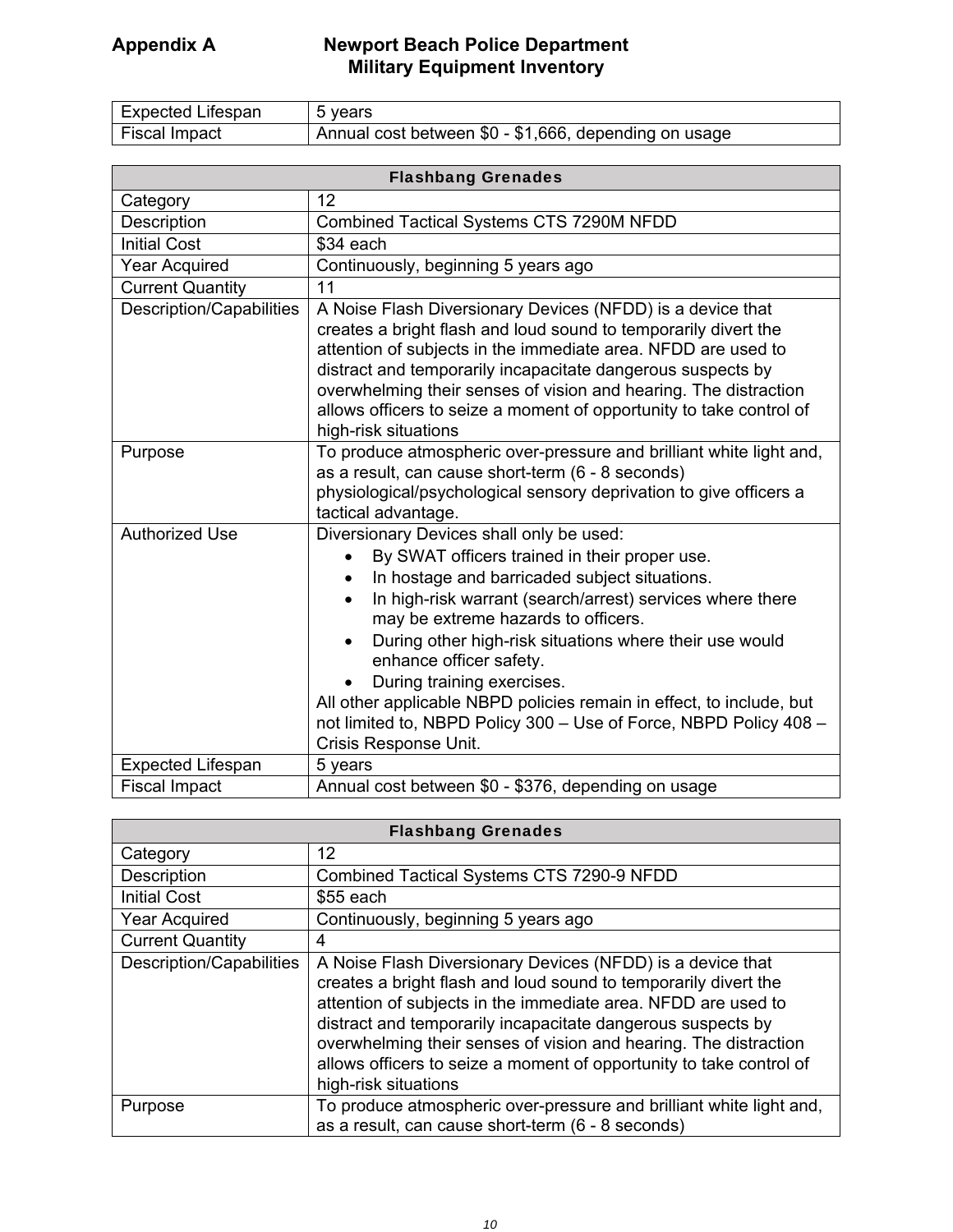| Expected Lifespan | 5 vears                                               |
|-------------------|-------------------------------------------------------|
| Fiscal Impact     | Annual cost between \$0 - \$1,666, depending on usage |

| <b>Flashbang Grenades</b>       |                                                                                                                                                                                                                                                                                                                                                                                                                                                                                                                                                       |
|---------------------------------|-------------------------------------------------------------------------------------------------------------------------------------------------------------------------------------------------------------------------------------------------------------------------------------------------------------------------------------------------------------------------------------------------------------------------------------------------------------------------------------------------------------------------------------------------------|
| Category                        | 12                                                                                                                                                                                                                                                                                                                                                                                                                                                                                                                                                    |
| Description                     | Combined Tactical Systems CTS 7290M NFDD                                                                                                                                                                                                                                                                                                                                                                                                                                                                                                              |
| <b>Initial Cost</b>             | \$34 each                                                                                                                                                                                                                                                                                                                                                                                                                                                                                                                                             |
| <b>Year Acquired</b>            | Continuously, beginning 5 years ago                                                                                                                                                                                                                                                                                                                                                                                                                                                                                                                   |
| <b>Current Quantity</b>         | 11                                                                                                                                                                                                                                                                                                                                                                                                                                                                                                                                                    |
| <b>Description/Capabilities</b> | A Noise Flash Diversionary Devices (NFDD) is a device that<br>creates a bright flash and loud sound to temporarily divert the<br>attention of subjects in the immediate area. NFDD are used to<br>distract and temporarily incapacitate dangerous suspects by<br>overwhelming their senses of vision and hearing. The distraction<br>allows officers to seize a moment of opportunity to take control of<br>high-risk situations                                                                                                                      |
| Purpose                         | To produce atmospheric over-pressure and brilliant white light and,<br>as a result, can cause short-term (6 - 8 seconds)<br>physiological/psychological sensory deprivation to give officers a<br>tactical advantage.                                                                                                                                                                                                                                                                                                                                 |
| <b>Authorized Use</b>           | Diversionary Devices shall only be used:<br>By SWAT officers trained in their proper use.<br>In hostage and barricaded subject situations.<br>In high-risk warrant (search/arrest) services where there<br>may be extreme hazards to officers.<br>During other high-risk situations where their use would<br>$\bullet$<br>enhance officer safety.<br>During training exercises.<br>All other applicable NBPD policies remain in effect, to include, but<br>not limited to, NBPD Policy 300 - Use of Force, NBPD Policy 408 -<br>Crisis Response Unit. |
| <b>Expected Lifespan</b>        | 5 years                                                                                                                                                                                                                                                                                                                                                                                                                                                                                                                                               |
| <b>Fiscal Impact</b>            | Annual cost between \$0 - \$376, depending on usage                                                                                                                                                                                                                                                                                                                                                                                                                                                                                                   |

| <b>Flashbang Grenades</b> |                                                                                                                                                                                                                                                                                                                                                                                                                                  |
|---------------------------|----------------------------------------------------------------------------------------------------------------------------------------------------------------------------------------------------------------------------------------------------------------------------------------------------------------------------------------------------------------------------------------------------------------------------------|
| Category                  | 12                                                                                                                                                                                                                                                                                                                                                                                                                               |
| Description               | Combined Tactical Systems CTS 7290-9 NFDD                                                                                                                                                                                                                                                                                                                                                                                        |
| <b>Initial Cost</b>       | $$55$ each                                                                                                                                                                                                                                                                                                                                                                                                                       |
| <b>Year Acquired</b>      | Continuously, beginning 5 years ago                                                                                                                                                                                                                                                                                                                                                                                              |
| <b>Current Quantity</b>   | 4                                                                                                                                                                                                                                                                                                                                                                                                                                |
| Description/Capabilities  | A Noise Flash Diversionary Devices (NFDD) is a device that<br>creates a bright flash and loud sound to temporarily divert the<br>attention of subjects in the immediate area. NFDD are used to<br>distract and temporarily incapacitate dangerous suspects by<br>overwhelming their senses of vision and hearing. The distraction<br>allows officers to seize a moment of opportunity to take control of<br>high-risk situations |
| Purpose                   | To produce atmospheric over-pressure and brilliant white light and,<br>as a result, can cause short-term (6 - 8 seconds)                                                                                                                                                                                                                                                                                                         |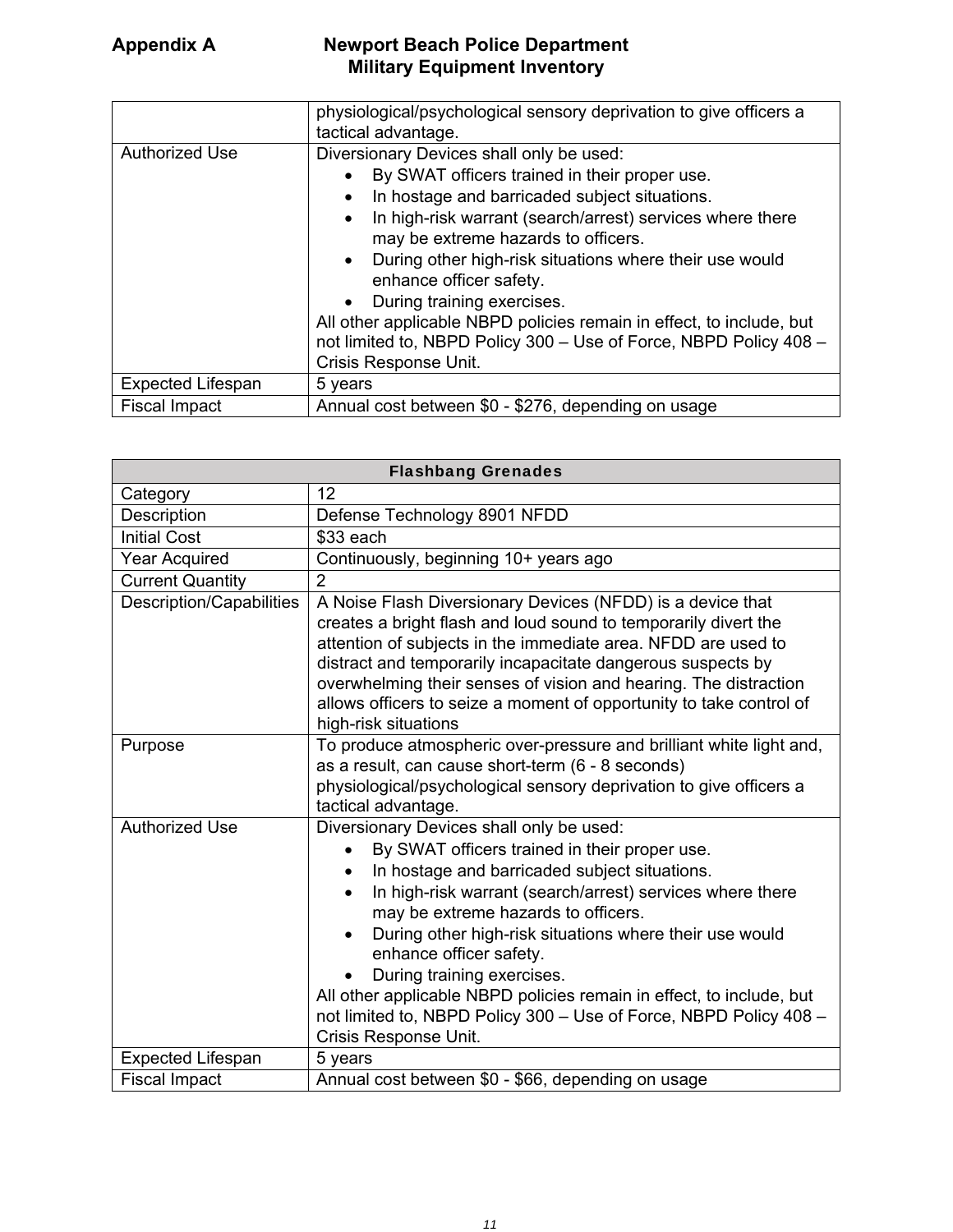|                          | physiological/psychological sensory deprivation to give officers a<br>tactical advantage.                                                                                                                                                                                                                                                                                                                                                                                                                                                                                       |
|--------------------------|---------------------------------------------------------------------------------------------------------------------------------------------------------------------------------------------------------------------------------------------------------------------------------------------------------------------------------------------------------------------------------------------------------------------------------------------------------------------------------------------------------------------------------------------------------------------------------|
| <b>Authorized Use</b>    | Diversionary Devices shall only be used:<br>By SWAT officers trained in their proper use.<br>In hostage and barricaded subject situations.<br>$\bullet$<br>In high-risk warrant (search/arrest) services where there<br>$\bullet$<br>may be extreme hazards to officers.<br>During other high-risk situations where their use would<br>$\bullet$<br>enhance officer safety.<br>During training exercises.<br>All other applicable NBPD policies remain in effect, to include, but<br>not limited to, NBPD Policy 300 - Use of Force, NBPD Policy 408 -<br>Crisis Response Unit. |
| <b>Expected Lifespan</b> | 5 years                                                                                                                                                                                                                                                                                                                                                                                                                                                                                                                                                                         |
| <b>Fiscal Impact</b>     | Annual cost between \$0 - \$276, depending on usage                                                                                                                                                                                                                                                                                                                                                                                                                                                                                                                             |

| <b>Flashbang Grenades</b>       |                                                                                                                                                                                                                                                                                                                                                                                                                                                                                                                                                                                 |
|---------------------------------|---------------------------------------------------------------------------------------------------------------------------------------------------------------------------------------------------------------------------------------------------------------------------------------------------------------------------------------------------------------------------------------------------------------------------------------------------------------------------------------------------------------------------------------------------------------------------------|
| Category                        | 12                                                                                                                                                                                                                                                                                                                                                                                                                                                                                                                                                                              |
| Description                     | Defense Technology 8901 NFDD                                                                                                                                                                                                                                                                                                                                                                                                                                                                                                                                                    |
| <b>Initial Cost</b>             | \$33 each                                                                                                                                                                                                                                                                                                                                                                                                                                                                                                                                                                       |
| <b>Year Acquired</b>            | Continuously, beginning 10+ years ago                                                                                                                                                                                                                                                                                                                                                                                                                                                                                                                                           |
| <b>Current Quantity</b>         | $\overline{2}$                                                                                                                                                                                                                                                                                                                                                                                                                                                                                                                                                                  |
| <b>Description/Capabilities</b> | A Noise Flash Diversionary Devices (NFDD) is a device that<br>creates a bright flash and loud sound to temporarily divert the<br>attention of subjects in the immediate area. NFDD are used to<br>distract and temporarily incapacitate dangerous suspects by<br>overwhelming their senses of vision and hearing. The distraction<br>allows officers to seize a moment of opportunity to take control of<br>high-risk situations                                                                                                                                                |
| Purpose                         | To produce atmospheric over-pressure and brilliant white light and,<br>as a result, can cause short-term (6 - 8 seconds)<br>physiological/psychological sensory deprivation to give officers a<br>tactical advantage.                                                                                                                                                                                                                                                                                                                                                           |
| <b>Authorized Use</b>           | Diversionary Devices shall only be used:<br>By SWAT officers trained in their proper use.<br>$\bullet$<br>In hostage and barricaded subject situations.<br>$\bullet$<br>In high-risk warrant (search/arrest) services where there<br>may be extreme hazards to officers.<br>During other high-risk situations where their use would<br>$\bullet$<br>enhance officer safety.<br>During training exercises.<br>All other applicable NBPD policies remain in effect, to include, but<br>not limited to, NBPD Policy 300 - Use of Force, NBPD Policy 408 -<br>Crisis Response Unit. |
| <b>Expected Lifespan</b>        | 5 years                                                                                                                                                                                                                                                                                                                                                                                                                                                                                                                                                                         |
| <b>Fiscal Impact</b>            | Annual cost between \$0 - \$66, depending on usage                                                                                                                                                                                                                                                                                                                                                                                                                                                                                                                              |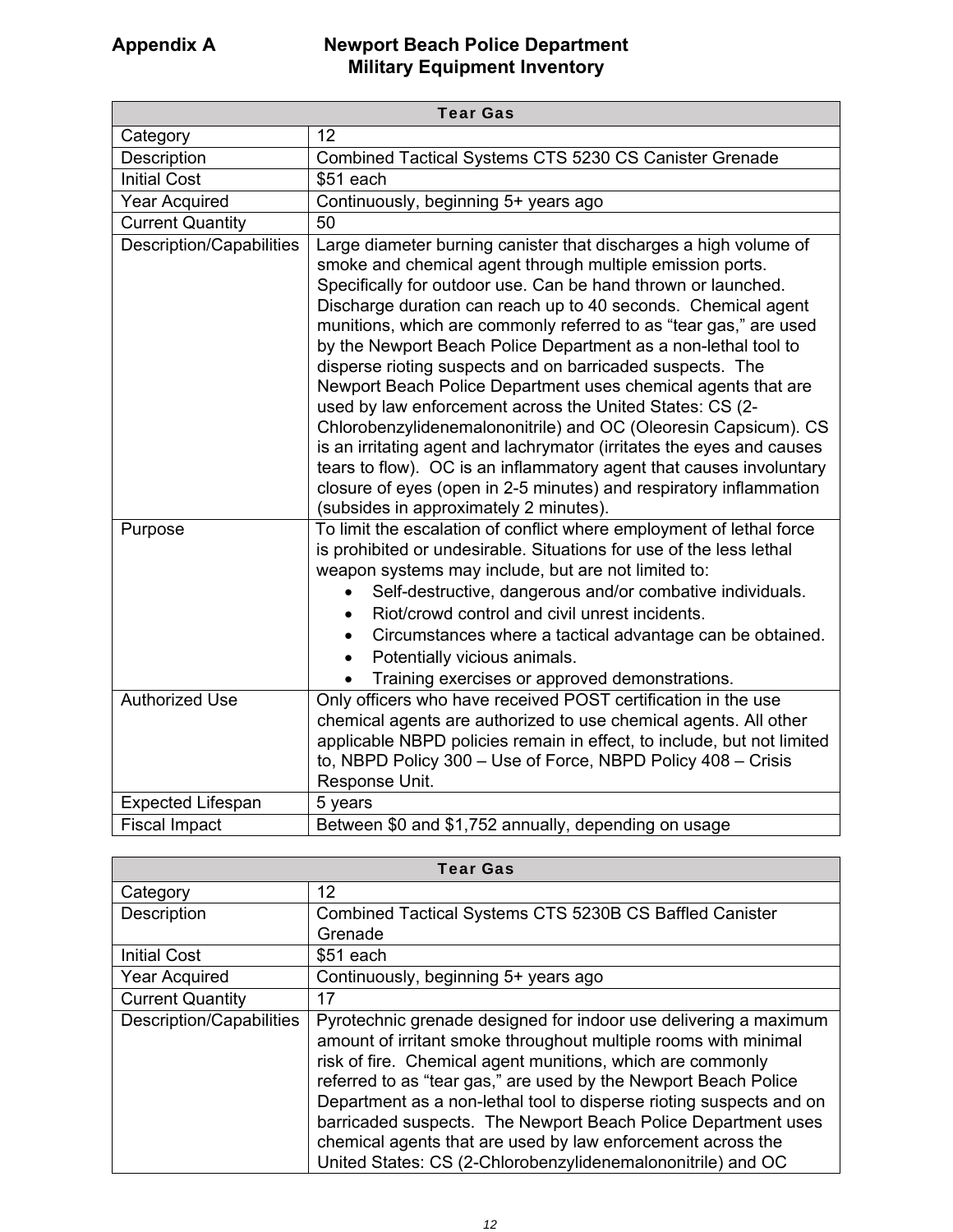| <b>Tear Gas</b>                 |                                                                                                                                                                                                                                                                                                                                                                                                                                                                                                                                                                                                                                                                                                                                                                                                                                                                                                                                     |
|---------------------------------|-------------------------------------------------------------------------------------------------------------------------------------------------------------------------------------------------------------------------------------------------------------------------------------------------------------------------------------------------------------------------------------------------------------------------------------------------------------------------------------------------------------------------------------------------------------------------------------------------------------------------------------------------------------------------------------------------------------------------------------------------------------------------------------------------------------------------------------------------------------------------------------------------------------------------------------|
| Category                        | 12                                                                                                                                                                                                                                                                                                                                                                                                                                                                                                                                                                                                                                                                                                                                                                                                                                                                                                                                  |
| Description                     | Combined Tactical Systems CTS 5230 CS Canister Grenade                                                                                                                                                                                                                                                                                                                                                                                                                                                                                                                                                                                                                                                                                                                                                                                                                                                                              |
| <b>Initial Cost</b>             | \$51 each                                                                                                                                                                                                                                                                                                                                                                                                                                                                                                                                                                                                                                                                                                                                                                                                                                                                                                                           |
| <b>Year Acquired</b>            | Continuously, beginning 5+ years ago                                                                                                                                                                                                                                                                                                                                                                                                                                                                                                                                                                                                                                                                                                                                                                                                                                                                                                |
| <b>Current Quantity</b>         | 50                                                                                                                                                                                                                                                                                                                                                                                                                                                                                                                                                                                                                                                                                                                                                                                                                                                                                                                                  |
| <b>Description/Capabilities</b> | Large diameter burning canister that discharges a high volume of<br>smoke and chemical agent through multiple emission ports.<br>Specifically for outdoor use. Can be hand thrown or launched.<br>Discharge duration can reach up to 40 seconds. Chemical agent<br>munitions, which are commonly referred to as "tear gas," are used<br>by the Newport Beach Police Department as a non-lethal tool to<br>disperse rioting suspects and on barricaded suspects. The<br>Newport Beach Police Department uses chemical agents that are<br>used by law enforcement across the United States: CS (2-<br>Chlorobenzylidenemalononitrile) and OC (Oleoresin Capsicum). CS<br>is an irritating agent and lachrymator (irritates the eyes and causes<br>tears to flow). OC is an inflammatory agent that causes involuntary<br>closure of eyes (open in 2-5 minutes) and respiratory inflammation<br>(subsides in approximately 2 minutes). |
| Purpose                         | To limit the escalation of conflict where employment of lethal force<br>is prohibited or undesirable. Situations for use of the less lethal<br>weapon systems may include, but are not limited to:<br>Self-destructive, dangerous and/or combative individuals.<br>Riot/crowd control and civil unrest incidents.<br>Circumstances where a tactical advantage can be obtained.<br>$\bullet$<br>Potentially vicious animals.<br>$\bullet$<br>Training exercises or approved demonstrations.                                                                                                                                                                                                                                                                                                                                                                                                                                          |
| <b>Authorized Use</b>           | Only officers who have received POST certification in the use<br>chemical agents are authorized to use chemical agents. All other<br>applicable NBPD policies remain in effect, to include, but not limited<br>to, NBPD Policy 300 - Use of Force, NBPD Policy 408 - Crisis<br>Response Unit.                                                                                                                                                                                                                                                                                                                                                                                                                                                                                                                                                                                                                                       |
| <b>Expected Lifespan</b>        | 5 years                                                                                                                                                                                                                                                                                                                                                                                                                                                                                                                                                                                                                                                                                                                                                                                                                                                                                                                             |
| <b>Fiscal Impact</b>            | Between \$0 and \$1,752 annually, depending on usage                                                                                                                                                                                                                                                                                                                                                                                                                                                                                                                                                                                                                                                                                                                                                                                                                                                                                |

| <b>Tear Gas</b>          |                                                                                                                                                                                                                                                                                                                                                                                                                                                                                                                                            |
|--------------------------|--------------------------------------------------------------------------------------------------------------------------------------------------------------------------------------------------------------------------------------------------------------------------------------------------------------------------------------------------------------------------------------------------------------------------------------------------------------------------------------------------------------------------------------------|
| Category                 | 12                                                                                                                                                                                                                                                                                                                                                                                                                                                                                                                                         |
| Description              | Combined Tactical Systems CTS 5230B CS Baffled Canister                                                                                                                                                                                                                                                                                                                                                                                                                                                                                    |
|                          | Grenade                                                                                                                                                                                                                                                                                                                                                                                                                                                                                                                                    |
| <b>Initial Cost</b>      | $$51$ each                                                                                                                                                                                                                                                                                                                                                                                                                                                                                                                                 |
| <b>Year Acquired</b>     | Continuously, beginning 5+ years ago                                                                                                                                                                                                                                                                                                                                                                                                                                                                                                       |
| <b>Current Quantity</b>  | 17                                                                                                                                                                                                                                                                                                                                                                                                                                                                                                                                         |
| Description/Capabilities | Pyrotechnic grenade designed for indoor use delivering a maximum<br>amount of irritant smoke throughout multiple rooms with minimal<br>risk of fire. Chemical agent munitions, which are commonly<br>referred to as "tear gas," are used by the Newport Beach Police<br>Department as a non-lethal tool to disperse rioting suspects and on<br>barricaded suspects. The Newport Beach Police Department uses<br>chemical agents that are used by law enforcement across the<br>United States: CS (2-Chlorobenzylidenemalononitrile) and OC |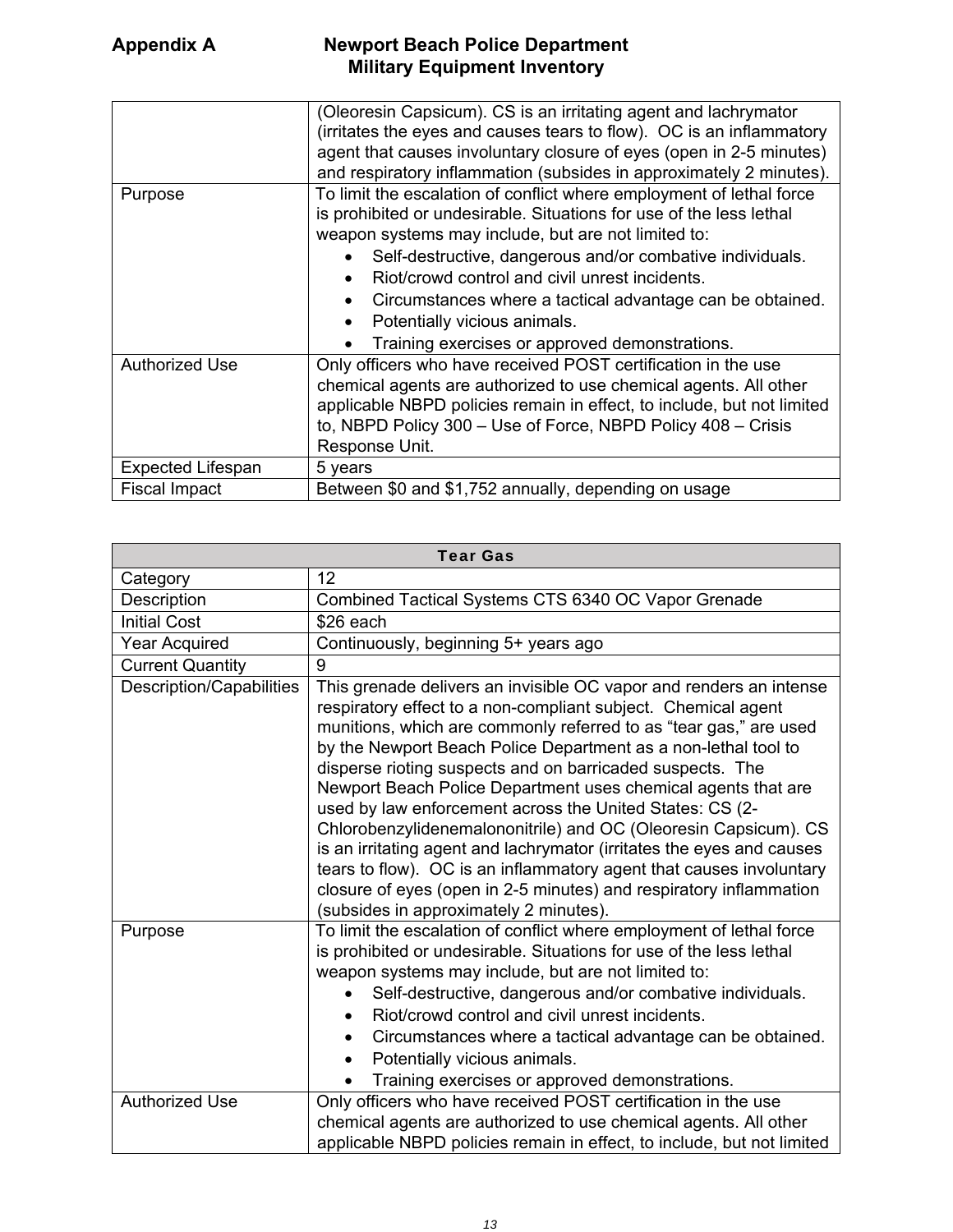|                          | (Oleoresin Capsicum). CS is an irritating agent and lachrymator<br>(irritates the eyes and causes tears to flow). OC is an inflammatory<br>agent that causes involuntary closure of eyes (open in 2-5 minutes)<br>and respiratory inflammation (subsides in approximately 2 minutes).                                                                                                                                                                                                                   |
|--------------------------|---------------------------------------------------------------------------------------------------------------------------------------------------------------------------------------------------------------------------------------------------------------------------------------------------------------------------------------------------------------------------------------------------------------------------------------------------------------------------------------------------------|
| Purpose                  | To limit the escalation of conflict where employment of lethal force<br>is prohibited or undesirable. Situations for use of the less lethal<br>weapon systems may include, but are not limited to:<br>Self-destructive, dangerous and/or combative individuals.<br>Riot/crowd control and civil unrest incidents.<br>$\bullet$<br>Circumstances where a tactical advantage can be obtained.<br>$\bullet$<br>Potentially vicious animals.<br>$\bullet$<br>Training exercises or approved demonstrations. |
| <b>Authorized Use</b>    | Only officers who have received POST certification in the use<br>chemical agents are authorized to use chemical agents. All other<br>applicable NBPD policies remain in effect, to include, but not limited<br>to, NBPD Policy 300 - Use of Force, NBPD Policy 408 - Crisis<br>Response Unit.                                                                                                                                                                                                           |
| <b>Expected Lifespan</b> | 5 years                                                                                                                                                                                                                                                                                                                                                                                                                                                                                                 |
| <b>Fiscal Impact</b>     | Between \$0 and \$1,752 annually, depending on usage                                                                                                                                                                                                                                                                                                                                                                                                                                                    |

| <b>Tear Gas</b>          |                                                                                                                                                                                                                                                                                                                                                                                                                                                                                                                                                                                                                                                                                                                                                                                                         |
|--------------------------|---------------------------------------------------------------------------------------------------------------------------------------------------------------------------------------------------------------------------------------------------------------------------------------------------------------------------------------------------------------------------------------------------------------------------------------------------------------------------------------------------------------------------------------------------------------------------------------------------------------------------------------------------------------------------------------------------------------------------------------------------------------------------------------------------------|
| Category                 | 12                                                                                                                                                                                                                                                                                                                                                                                                                                                                                                                                                                                                                                                                                                                                                                                                      |
| Description              | Combined Tactical Systems CTS 6340 OC Vapor Grenade                                                                                                                                                                                                                                                                                                                                                                                                                                                                                                                                                                                                                                                                                                                                                     |
| <b>Initial Cost</b>      | \$26 each                                                                                                                                                                                                                                                                                                                                                                                                                                                                                                                                                                                                                                                                                                                                                                                               |
| <b>Year Acquired</b>     | Continuously, beginning 5+ years ago                                                                                                                                                                                                                                                                                                                                                                                                                                                                                                                                                                                                                                                                                                                                                                    |
| <b>Current Quantity</b>  | 9                                                                                                                                                                                                                                                                                                                                                                                                                                                                                                                                                                                                                                                                                                                                                                                                       |
| Description/Capabilities | This grenade delivers an invisible OC vapor and renders an intense<br>respiratory effect to a non-compliant subject. Chemical agent<br>munitions, which are commonly referred to as "tear gas," are used<br>by the Newport Beach Police Department as a non-lethal tool to<br>disperse rioting suspects and on barricaded suspects. The<br>Newport Beach Police Department uses chemical agents that are<br>used by law enforcement across the United States: CS (2-<br>Chlorobenzylidenemalononitrile) and OC (Oleoresin Capsicum). CS<br>is an irritating agent and lachrymator (irritates the eyes and causes<br>tears to flow). OC is an inflammatory agent that causes involuntary<br>closure of eyes (open in 2-5 minutes) and respiratory inflammation<br>(subsides in approximately 2 minutes). |
| Purpose                  | To limit the escalation of conflict where employment of lethal force<br>is prohibited or undesirable. Situations for use of the less lethal<br>weapon systems may include, but are not limited to:<br>Self-destructive, dangerous and/or combative individuals.<br>Riot/crowd control and civil unrest incidents.<br>Circumstances where a tactical advantage can be obtained.<br>Potentially vicious animals.<br>$\bullet$<br>Training exercises or approved demonstrations.                                                                                                                                                                                                                                                                                                                           |
| <b>Authorized Use</b>    | Only officers who have received POST certification in the use<br>chemical agents are authorized to use chemical agents. All other<br>applicable NBPD policies remain in effect, to include, but not limited                                                                                                                                                                                                                                                                                                                                                                                                                                                                                                                                                                                             |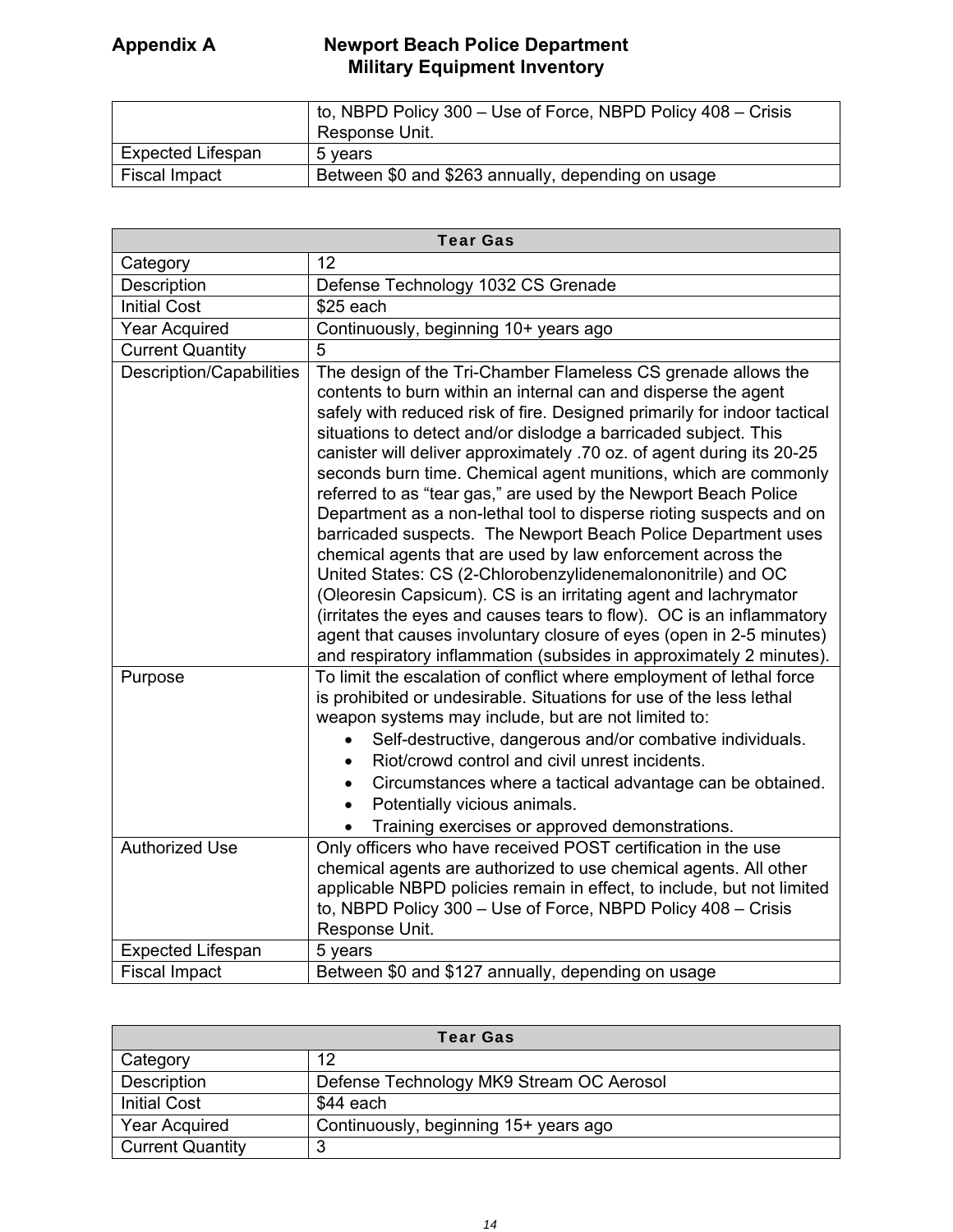|                          | to, NBPD Policy 300 – Use of Force, NBPD Policy 408 – Crisis<br>Response Unit. |
|--------------------------|--------------------------------------------------------------------------------|
| <b>Expected Lifespan</b> | 5 vears                                                                        |
| Fiscal Impact            | Between \$0 and \$263 annually, depending on usage                             |

| <b>Tear Gas</b>                 |                                                                                                                                                                                                                                                                                                                                                                                                                                                                                                                                                                                                                                                                                                                                                                                                                                                                                                                                                                                                                                                              |  |
|---------------------------------|--------------------------------------------------------------------------------------------------------------------------------------------------------------------------------------------------------------------------------------------------------------------------------------------------------------------------------------------------------------------------------------------------------------------------------------------------------------------------------------------------------------------------------------------------------------------------------------------------------------------------------------------------------------------------------------------------------------------------------------------------------------------------------------------------------------------------------------------------------------------------------------------------------------------------------------------------------------------------------------------------------------------------------------------------------------|--|
| Category                        | 12                                                                                                                                                                                                                                                                                                                                                                                                                                                                                                                                                                                                                                                                                                                                                                                                                                                                                                                                                                                                                                                           |  |
| Description                     | Defense Technology 1032 CS Grenade                                                                                                                                                                                                                                                                                                                                                                                                                                                                                                                                                                                                                                                                                                                                                                                                                                                                                                                                                                                                                           |  |
| <b>Initial Cost</b>             | \$25 each                                                                                                                                                                                                                                                                                                                                                                                                                                                                                                                                                                                                                                                                                                                                                                                                                                                                                                                                                                                                                                                    |  |
| <b>Year Acquired</b>            | Continuously, beginning 10+ years ago                                                                                                                                                                                                                                                                                                                                                                                                                                                                                                                                                                                                                                                                                                                                                                                                                                                                                                                                                                                                                        |  |
| <b>Current Quantity</b>         | 5                                                                                                                                                                                                                                                                                                                                                                                                                                                                                                                                                                                                                                                                                                                                                                                                                                                                                                                                                                                                                                                            |  |
| <b>Description/Capabilities</b> | The design of the Tri-Chamber Flameless CS grenade allows the<br>contents to burn within an internal can and disperse the agent<br>safely with reduced risk of fire. Designed primarily for indoor tactical<br>situations to detect and/or dislodge a barricaded subject. This<br>canister will deliver approximately .70 oz. of agent during its 20-25<br>seconds burn time. Chemical agent munitions, which are commonly<br>referred to as "tear gas," are used by the Newport Beach Police<br>Department as a non-lethal tool to disperse rioting suspects and on<br>barricaded suspects. The Newport Beach Police Department uses<br>chemical agents that are used by law enforcement across the<br>United States: CS (2-Chlorobenzylidenemalononitrile) and OC<br>(Oleoresin Capsicum). CS is an irritating agent and lachrymator<br>(irritates the eyes and causes tears to flow). OC is an inflammatory<br>agent that causes involuntary closure of eyes (open in 2-5 minutes)<br>and respiratory inflammation (subsides in approximately 2 minutes). |  |
| Purpose                         | To limit the escalation of conflict where employment of lethal force<br>is prohibited or undesirable. Situations for use of the less lethal<br>weapon systems may include, but are not limited to:<br>Self-destructive, dangerous and/or combative individuals.<br>Riot/crowd control and civil unrest incidents.<br>Circumstances where a tactical advantage can be obtained.<br>Potentially vicious animals.<br>Training exercises or approved demonstrations.                                                                                                                                                                                                                                                                                                                                                                                                                                                                                                                                                                                             |  |
| <b>Authorized Use</b>           | Only officers who have received POST certification in the use<br>chemical agents are authorized to use chemical agents. All other<br>applicable NBPD policies remain in effect, to include, but not limited<br>to, NBPD Policy 300 - Use of Force, NBPD Policy 408 - Crisis<br>Response Unit.                                                                                                                                                                                                                                                                                                                                                                                                                                                                                                                                                                                                                                                                                                                                                                |  |
| <b>Expected Lifespan</b>        | 5 years                                                                                                                                                                                                                                                                                                                                                                                                                                                                                                                                                                                                                                                                                                                                                                                                                                                                                                                                                                                                                                                      |  |
| <b>Fiscal Impact</b>            | Between \$0 and \$127 annually, depending on usage                                                                                                                                                                                                                                                                                                                                                                                                                                                                                                                                                                                                                                                                                                                                                                                                                                                                                                                                                                                                           |  |

| <b>Tear Gas</b>         |                                          |
|-------------------------|------------------------------------------|
| Category                | 12                                       |
| Description             | Defense Technology MK9 Stream OC Aerosol |
| <b>Initial Cost</b>     | \$44 each                                |
| <b>Year Acquired</b>    | Continuously, beginning 15+ years ago    |
| <b>Current Quantity</b> | 0                                        |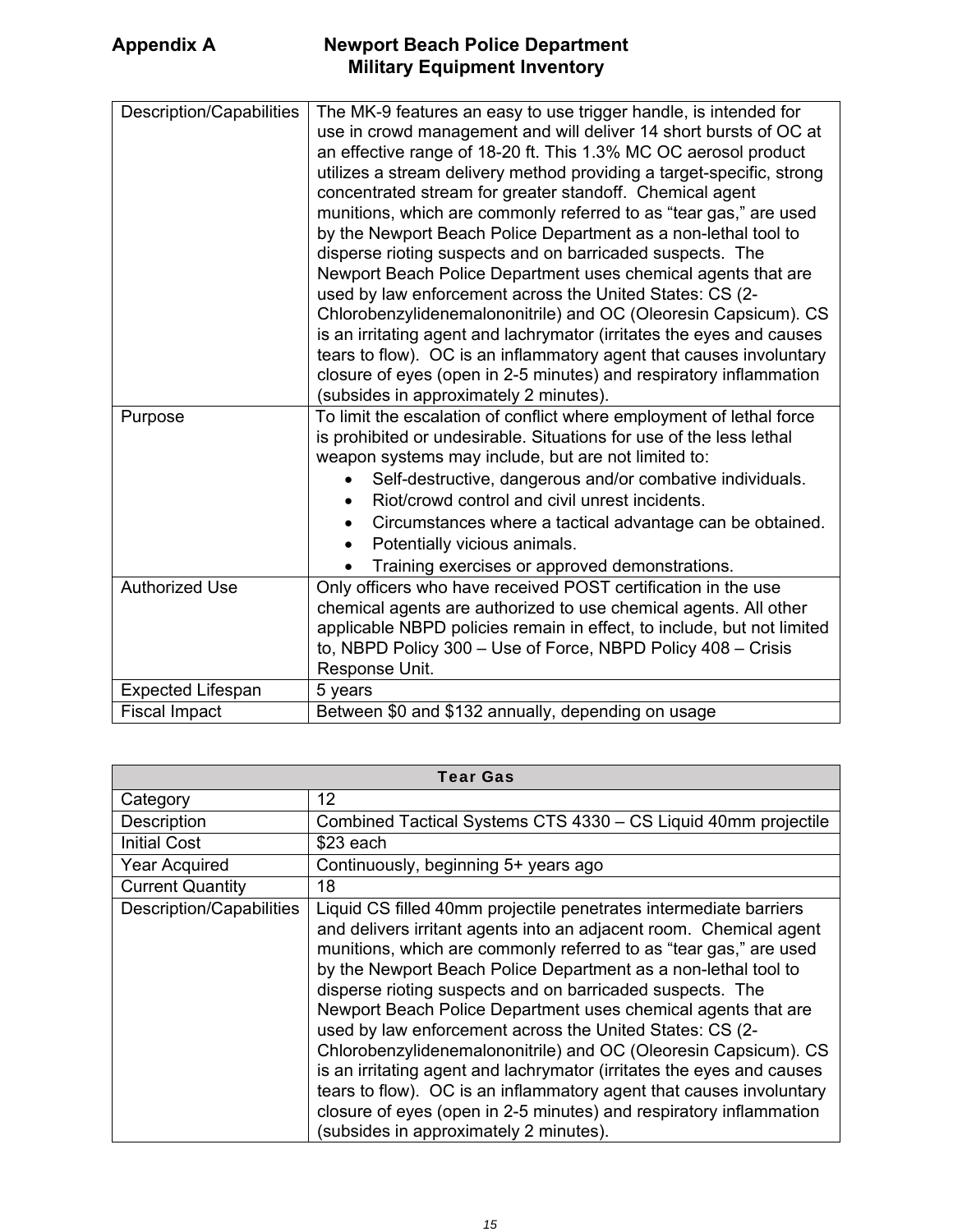| Description/Capabilities | The MK-9 features an easy to use trigger handle, is intended for<br>use in crowd management and will deliver 14 short bursts of OC at<br>an effective range of 18-20 ft. This 1.3% MC OC aerosol product<br>utilizes a stream delivery method providing a target-specific, strong<br>concentrated stream for greater standoff. Chemical agent<br>munitions, which are commonly referred to as "tear gas," are used<br>by the Newport Beach Police Department as a non-lethal tool to<br>disperse rioting suspects and on barricaded suspects. The<br>Newport Beach Police Department uses chemical agents that are<br>used by law enforcement across the United States: CS (2-<br>Chlorobenzylidenemalononitrile) and OC (Oleoresin Capsicum). CS<br>is an irritating agent and lachrymator (irritates the eyes and causes<br>tears to flow). OC is an inflammatory agent that causes involuntary<br>closure of eyes (open in 2-5 minutes) and respiratory inflammation |
|--------------------------|-------------------------------------------------------------------------------------------------------------------------------------------------------------------------------------------------------------------------------------------------------------------------------------------------------------------------------------------------------------------------------------------------------------------------------------------------------------------------------------------------------------------------------------------------------------------------------------------------------------------------------------------------------------------------------------------------------------------------------------------------------------------------------------------------------------------------------------------------------------------------------------------------------------------------------------------------------------------------|
|                          | (subsides in approximately 2 minutes).                                                                                                                                                                                                                                                                                                                                                                                                                                                                                                                                                                                                                                                                                                                                                                                                                                                                                                                                  |
| Purpose                  | To limit the escalation of conflict where employment of lethal force<br>is prohibited or undesirable. Situations for use of the less lethal<br>weapon systems may include, but are not limited to:<br>Self-destructive, dangerous and/or combative individuals.<br>Riot/crowd control and civil unrest incidents.<br>$\bullet$<br>Circumstances where a tactical advantage can be obtained.<br>$\bullet$<br>Potentially vicious animals.<br>$\bullet$<br>Training exercises or approved demonstrations.                                                                                                                                                                                                                                                                                                                                                                                                                                                                 |
| <b>Authorized Use</b>    | Only officers who have received POST certification in the use<br>chemical agents are authorized to use chemical agents. All other<br>applicable NBPD policies remain in effect, to include, but not limited<br>to, NBPD Policy 300 - Use of Force, NBPD Policy 408 - Crisis<br>Response Unit.                                                                                                                                                                                                                                                                                                                                                                                                                                                                                                                                                                                                                                                                           |
| <b>Expected Lifespan</b> | 5 years                                                                                                                                                                                                                                                                                                                                                                                                                                                                                                                                                                                                                                                                                                                                                                                                                                                                                                                                                                 |
|                          |                                                                                                                                                                                                                                                                                                                                                                                                                                                                                                                                                                                                                                                                                                                                                                                                                                                                                                                                                                         |
| <b>Fiscal Impact</b>     | Between \$0 and \$132 annually, depending on usage                                                                                                                                                                                                                                                                                                                                                                                                                                                                                                                                                                                                                                                                                                                                                                                                                                                                                                                      |

| <b>Tear Gas</b>          |                                                                                                                                                                                                                                                                                                                                                                                                                                                                                                                                                                                                                                                                                                                                                                                                             |
|--------------------------|-------------------------------------------------------------------------------------------------------------------------------------------------------------------------------------------------------------------------------------------------------------------------------------------------------------------------------------------------------------------------------------------------------------------------------------------------------------------------------------------------------------------------------------------------------------------------------------------------------------------------------------------------------------------------------------------------------------------------------------------------------------------------------------------------------------|
| Category                 | 12                                                                                                                                                                                                                                                                                                                                                                                                                                                                                                                                                                                                                                                                                                                                                                                                          |
| Description              | Combined Tactical Systems CTS 4330 - CS Liquid 40mm projectile                                                                                                                                                                                                                                                                                                                                                                                                                                                                                                                                                                                                                                                                                                                                              |
| <b>Initial Cost</b>      | $$23$ each                                                                                                                                                                                                                                                                                                                                                                                                                                                                                                                                                                                                                                                                                                                                                                                                  |
| <b>Year Acquired</b>     | Continuously, beginning 5+ years ago                                                                                                                                                                                                                                                                                                                                                                                                                                                                                                                                                                                                                                                                                                                                                                        |
| <b>Current Quantity</b>  | 18                                                                                                                                                                                                                                                                                                                                                                                                                                                                                                                                                                                                                                                                                                                                                                                                          |
| Description/Capabilities | Liquid CS filled 40mm projectile penetrates intermediate barriers<br>and delivers irritant agents into an adjacent room. Chemical agent<br>munitions, which are commonly referred to as "tear gas," are used<br>by the Newport Beach Police Department as a non-lethal tool to<br>disperse rioting suspects and on barricaded suspects. The<br>Newport Beach Police Department uses chemical agents that are<br>used by law enforcement across the United States: CS (2-<br>Chlorobenzylidenemalononitrile) and OC (Oleoresin Capsicum). CS<br>is an irritating agent and lachrymator (irritates the eyes and causes<br>tears to flow). OC is an inflammatory agent that causes involuntary<br>closure of eyes (open in 2-5 minutes) and respiratory inflammation<br>(subsides in approximately 2 minutes). |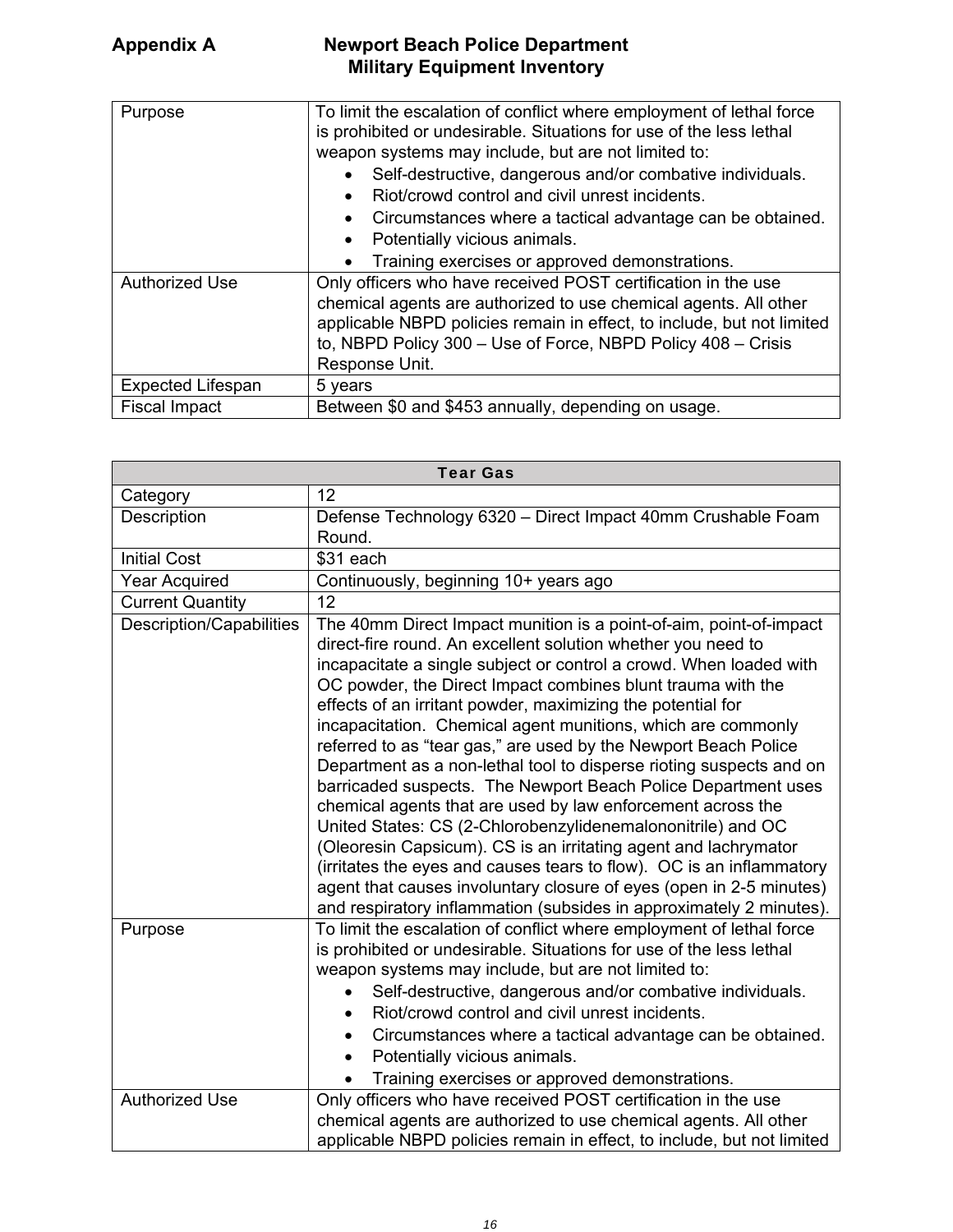| <b>TOWNOLL DUGGILL UNOU DUPUL GILDIR</b> |  |
|------------------------------------------|--|
| <b>Military Equipment Inventory</b>      |  |

| Purpose<br><b>Authorized Use</b> | To limit the escalation of conflict where employment of lethal force<br>is prohibited or undesirable. Situations for use of the less lethal<br>weapon systems may include, but are not limited to:<br>Self-destructive, dangerous and/or combative individuals.<br>Riot/crowd control and civil unrest incidents.<br>Circumstances where a tactical advantage can be obtained.<br>Potentially vicious animals.<br>Training exercises or approved demonstrations.<br>Only officers who have received POST certification in the use |
|----------------------------------|-----------------------------------------------------------------------------------------------------------------------------------------------------------------------------------------------------------------------------------------------------------------------------------------------------------------------------------------------------------------------------------------------------------------------------------------------------------------------------------------------------------------------------------|
|                                  | chemical agents are authorized to use chemical agents. All other<br>applicable NBPD policies remain in effect, to include, but not limited<br>to, NBPD Policy 300 - Use of Force, NBPD Policy 408 - Crisis<br>Response Unit.                                                                                                                                                                                                                                                                                                      |
| <b>Expected Lifespan</b>         | 5 years                                                                                                                                                                                                                                                                                                                                                                                                                                                                                                                           |
| <b>Fiscal Impact</b>             | Between \$0 and \$453 annually, depending on usage.                                                                                                                                                                                                                                                                                                                                                                                                                                                                               |

| <b>Tear Gas</b>                 |                                                                                                                                                                                                                                                                                                                                                                                                                                                                                                                                                                                                                                                                                                                                                                                                                                                                                                                                                                                                                                          |  |
|---------------------------------|------------------------------------------------------------------------------------------------------------------------------------------------------------------------------------------------------------------------------------------------------------------------------------------------------------------------------------------------------------------------------------------------------------------------------------------------------------------------------------------------------------------------------------------------------------------------------------------------------------------------------------------------------------------------------------------------------------------------------------------------------------------------------------------------------------------------------------------------------------------------------------------------------------------------------------------------------------------------------------------------------------------------------------------|--|
| Category                        | 12                                                                                                                                                                                                                                                                                                                                                                                                                                                                                                                                                                                                                                                                                                                                                                                                                                                                                                                                                                                                                                       |  |
| Description                     | Defense Technology 6320 - Direct Impact 40mm Crushable Foam<br>Round.                                                                                                                                                                                                                                                                                                                                                                                                                                                                                                                                                                                                                                                                                                                                                                                                                                                                                                                                                                    |  |
| <b>Initial Cost</b>             | \$31 each                                                                                                                                                                                                                                                                                                                                                                                                                                                                                                                                                                                                                                                                                                                                                                                                                                                                                                                                                                                                                                |  |
| <b>Year Acquired</b>            | Continuously, beginning 10+ years ago                                                                                                                                                                                                                                                                                                                                                                                                                                                                                                                                                                                                                                                                                                                                                                                                                                                                                                                                                                                                    |  |
| Current Quantity                | 12                                                                                                                                                                                                                                                                                                                                                                                                                                                                                                                                                                                                                                                                                                                                                                                                                                                                                                                                                                                                                                       |  |
| <b>Description/Capabilities</b> | The 40mm Direct Impact munition is a point-of-aim, point-of-impact<br>direct-fire round. An excellent solution whether you need to<br>incapacitate a single subject or control a crowd. When loaded with<br>OC powder, the Direct Impact combines blunt trauma with the<br>effects of an irritant powder, maximizing the potential for<br>incapacitation. Chemical agent munitions, which are commonly<br>referred to as "tear gas," are used by the Newport Beach Police<br>Department as a non-lethal tool to disperse rioting suspects and on<br>barricaded suspects. The Newport Beach Police Department uses<br>chemical agents that are used by law enforcement across the<br>United States: CS (2-Chlorobenzylidenemalononitrile) and OC<br>(Oleoresin Capsicum). CS is an irritating agent and lachrymator<br>(irritates the eyes and causes tears to flow). OC is an inflammatory<br>agent that causes involuntary closure of eyes (open in 2-5 minutes)<br>and respiratory inflammation (subsides in approximately 2 minutes). |  |
| Purpose                         | To limit the escalation of conflict where employment of lethal force<br>is prohibited or undesirable. Situations for use of the less lethal<br>weapon systems may include, but are not limited to:<br>Self-destructive, dangerous and/or combative individuals.<br>$\bullet$<br>Riot/crowd control and civil unrest incidents.<br>Circumstances where a tactical advantage can be obtained.<br>$\bullet$<br>Potentially vicious animals.<br>$\bullet$<br>Training exercises or approved demonstrations.                                                                                                                                                                                                                                                                                                                                                                                                                                                                                                                                  |  |
| <b>Authorized Use</b>           | Only officers who have received POST certification in the use<br>chemical agents are authorized to use chemical agents. All other<br>applicable NBPD policies remain in effect, to include, but not limited                                                                                                                                                                                                                                                                                                                                                                                                                                                                                                                                                                                                                                                                                                                                                                                                                              |  |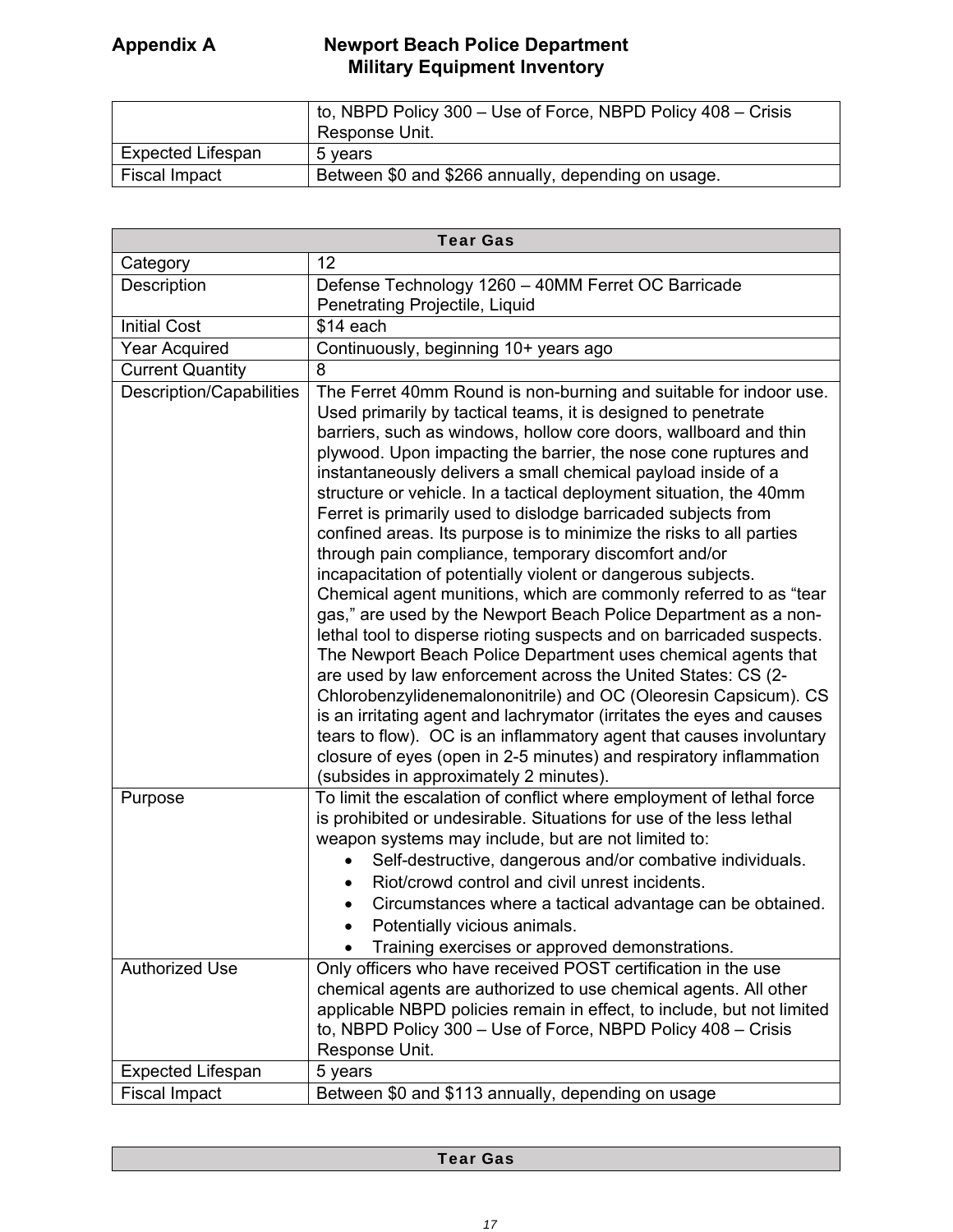|                          | to, NBPD Policy 300 – Use of Force, NBPD Policy 408 – Crisis<br>Response Unit. |
|--------------------------|--------------------------------------------------------------------------------|
| <b>Expected Lifespan</b> | 5 vears                                                                        |
| Fiscal Impact            | Between \$0 and \$266 annually, depending on usage.                            |

| <b>Tear Gas</b>                 |                                                                                                                                                                                                                                                                                                                                                                                                                                                                                                                                                                                                                                                                                                                                                                                                                                                                                                                                                                                                                                                                                                                                                                                                                                                                                                                                                                      |  |
|---------------------------------|----------------------------------------------------------------------------------------------------------------------------------------------------------------------------------------------------------------------------------------------------------------------------------------------------------------------------------------------------------------------------------------------------------------------------------------------------------------------------------------------------------------------------------------------------------------------------------------------------------------------------------------------------------------------------------------------------------------------------------------------------------------------------------------------------------------------------------------------------------------------------------------------------------------------------------------------------------------------------------------------------------------------------------------------------------------------------------------------------------------------------------------------------------------------------------------------------------------------------------------------------------------------------------------------------------------------------------------------------------------------|--|
| Category                        | 12                                                                                                                                                                                                                                                                                                                                                                                                                                                                                                                                                                                                                                                                                                                                                                                                                                                                                                                                                                                                                                                                                                                                                                                                                                                                                                                                                                   |  |
| Description                     | Defense Technology 1260 - 40MM Ferret OC Barricade                                                                                                                                                                                                                                                                                                                                                                                                                                                                                                                                                                                                                                                                                                                                                                                                                                                                                                                                                                                                                                                                                                                                                                                                                                                                                                                   |  |
|                                 | Penetrating Projectile, Liquid                                                                                                                                                                                                                                                                                                                                                                                                                                                                                                                                                                                                                                                                                                                                                                                                                                                                                                                                                                                                                                                                                                                                                                                                                                                                                                                                       |  |
| <b>Initial Cost</b>             | \$14 each                                                                                                                                                                                                                                                                                                                                                                                                                                                                                                                                                                                                                                                                                                                                                                                                                                                                                                                                                                                                                                                                                                                                                                                                                                                                                                                                                            |  |
| <b>Year Acquired</b>            | Continuously, beginning 10+ years ago                                                                                                                                                                                                                                                                                                                                                                                                                                                                                                                                                                                                                                                                                                                                                                                                                                                                                                                                                                                                                                                                                                                                                                                                                                                                                                                                |  |
| <b>Current Quantity</b>         | 8                                                                                                                                                                                                                                                                                                                                                                                                                                                                                                                                                                                                                                                                                                                                                                                                                                                                                                                                                                                                                                                                                                                                                                                                                                                                                                                                                                    |  |
| <b>Description/Capabilities</b> | The Ferret 40mm Round is non-burning and suitable for indoor use.<br>Used primarily by tactical teams, it is designed to penetrate<br>barriers, such as windows, hollow core doors, wallboard and thin<br>plywood. Upon impacting the barrier, the nose cone ruptures and<br>instantaneously delivers a small chemical payload inside of a<br>structure or vehicle. In a tactical deployment situation, the 40mm<br>Ferret is primarily used to dislodge barricaded subjects from<br>confined areas. Its purpose is to minimize the risks to all parties<br>through pain compliance, temporary discomfort and/or<br>incapacitation of potentially violent or dangerous subjects.<br>Chemical agent munitions, which are commonly referred to as "tear<br>gas," are used by the Newport Beach Police Department as a non-<br>lethal tool to disperse rioting suspects and on barricaded suspects.<br>The Newport Beach Police Department uses chemical agents that<br>are used by law enforcement across the United States: CS (2-<br>Chlorobenzylidenemalononitrile) and OC (Oleoresin Capsicum). CS<br>is an irritating agent and lachrymator (irritates the eyes and causes<br>tears to flow). OC is an inflammatory agent that causes involuntary<br>closure of eyes (open in 2-5 minutes) and respiratory inflammation<br>(subsides in approximately 2 minutes). |  |
| Purpose                         | To limit the escalation of conflict where employment of lethal force<br>is prohibited or undesirable. Situations for use of the less lethal                                                                                                                                                                                                                                                                                                                                                                                                                                                                                                                                                                                                                                                                                                                                                                                                                                                                                                                                                                                                                                                                                                                                                                                                                          |  |
|                                 | weapon systems may include, but are not limited to:                                                                                                                                                                                                                                                                                                                                                                                                                                                                                                                                                                                                                                                                                                                                                                                                                                                                                                                                                                                                                                                                                                                                                                                                                                                                                                                  |  |
|                                 | Self-destructive, dangerous and/or combative individuals.                                                                                                                                                                                                                                                                                                                                                                                                                                                                                                                                                                                                                                                                                                                                                                                                                                                                                                                                                                                                                                                                                                                                                                                                                                                                                                            |  |
|                                 | Riot/crowd control and civil unrest incidents.                                                                                                                                                                                                                                                                                                                                                                                                                                                                                                                                                                                                                                                                                                                                                                                                                                                                                                                                                                                                                                                                                                                                                                                                                                                                                                                       |  |
|                                 | Circumstances where a tactical advantage can be obtained.                                                                                                                                                                                                                                                                                                                                                                                                                                                                                                                                                                                                                                                                                                                                                                                                                                                                                                                                                                                                                                                                                                                                                                                                                                                                                                            |  |
|                                 | Potentially vicious animals.                                                                                                                                                                                                                                                                                                                                                                                                                                                                                                                                                                                                                                                                                                                                                                                                                                                                                                                                                                                                                                                                                                                                                                                                                                                                                                                                         |  |
|                                 | Training exercises or approved demonstrations.                                                                                                                                                                                                                                                                                                                                                                                                                                                                                                                                                                                                                                                                                                                                                                                                                                                                                                                                                                                                                                                                                                                                                                                                                                                                                                                       |  |
| <b>Authorized Use</b>           | Only officers who have received POST certification in the use                                                                                                                                                                                                                                                                                                                                                                                                                                                                                                                                                                                                                                                                                                                                                                                                                                                                                                                                                                                                                                                                                                                                                                                                                                                                                                        |  |
|                                 | chemical agents are authorized to use chemical agents. All other                                                                                                                                                                                                                                                                                                                                                                                                                                                                                                                                                                                                                                                                                                                                                                                                                                                                                                                                                                                                                                                                                                                                                                                                                                                                                                     |  |
|                                 | applicable NBPD policies remain in effect, to include, but not limited<br>to, NBPD Policy 300 - Use of Force, NBPD Policy 408 - Crisis                                                                                                                                                                                                                                                                                                                                                                                                                                                                                                                                                                                                                                                                                                                                                                                                                                                                                                                                                                                                                                                                                                                                                                                                                               |  |
|                                 | Response Unit.                                                                                                                                                                                                                                                                                                                                                                                                                                                                                                                                                                                                                                                                                                                                                                                                                                                                                                                                                                                                                                                                                                                                                                                                                                                                                                                                                       |  |
| <b>Expected Lifespan</b>        | 5 years                                                                                                                                                                                                                                                                                                                                                                                                                                                                                                                                                                                                                                                                                                                                                                                                                                                                                                                                                                                                                                                                                                                                                                                                                                                                                                                                                              |  |
| <b>Fiscal Impact</b>            | Between \$0 and \$113 annually, depending on usage                                                                                                                                                                                                                                                                                                                                                                                                                                                                                                                                                                                                                                                                                                                                                                                                                                                                                                                                                                                                                                                                                                                                                                                                                                                                                                                   |  |

| <b>Tear Gas</b> |
|-----------------|
|                 |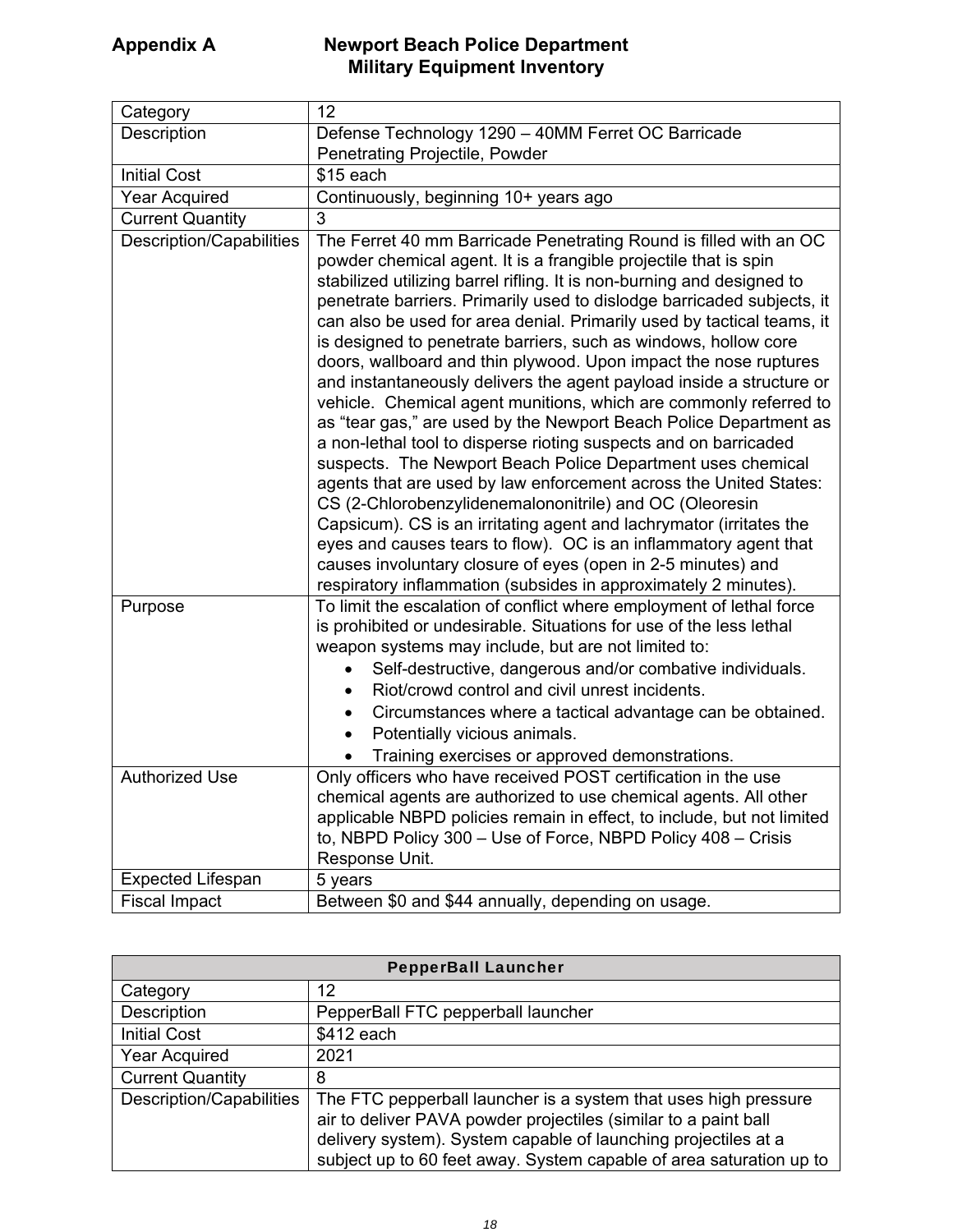| Category                        | 12                                                                                                                                                                                                                                                                                                                                                                                                                                                                                                                                                                                                                                                                                                                                                                                                                                                                                                                                                                                                                                                                                                                                                                                                                                                                            |
|---------------------------------|-------------------------------------------------------------------------------------------------------------------------------------------------------------------------------------------------------------------------------------------------------------------------------------------------------------------------------------------------------------------------------------------------------------------------------------------------------------------------------------------------------------------------------------------------------------------------------------------------------------------------------------------------------------------------------------------------------------------------------------------------------------------------------------------------------------------------------------------------------------------------------------------------------------------------------------------------------------------------------------------------------------------------------------------------------------------------------------------------------------------------------------------------------------------------------------------------------------------------------------------------------------------------------|
| Description                     | Defense Technology 1290 - 40MM Ferret OC Barricade                                                                                                                                                                                                                                                                                                                                                                                                                                                                                                                                                                                                                                                                                                                                                                                                                                                                                                                                                                                                                                                                                                                                                                                                                            |
|                                 | Penetrating Projectile, Powder                                                                                                                                                                                                                                                                                                                                                                                                                                                                                                                                                                                                                                                                                                                                                                                                                                                                                                                                                                                                                                                                                                                                                                                                                                                |
| <b>Initial Cost</b>             | $$15$ each                                                                                                                                                                                                                                                                                                                                                                                                                                                                                                                                                                                                                                                                                                                                                                                                                                                                                                                                                                                                                                                                                                                                                                                                                                                                    |
| <b>Year Acquired</b>            | Continuously, beginning 10+ years ago                                                                                                                                                                                                                                                                                                                                                                                                                                                                                                                                                                                                                                                                                                                                                                                                                                                                                                                                                                                                                                                                                                                                                                                                                                         |
| <b>Current Quantity</b>         | 3                                                                                                                                                                                                                                                                                                                                                                                                                                                                                                                                                                                                                                                                                                                                                                                                                                                                                                                                                                                                                                                                                                                                                                                                                                                                             |
| <b>Description/Capabilities</b> | The Ferret 40 mm Barricade Penetrating Round is filled with an OC<br>powder chemical agent. It is a frangible projectile that is spin<br>stabilized utilizing barrel rifling. It is non-burning and designed to<br>penetrate barriers. Primarily used to dislodge barricaded subjects, it<br>can also be used for area denial. Primarily used by tactical teams, it<br>is designed to penetrate barriers, such as windows, hollow core<br>doors, wallboard and thin plywood. Upon impact the nose ruptures<br>and instantaneously delivers the agent payload inside a structure or<br>vehicle. Chemical agent munitions, which are commonly referred to<br>as "tear gas," are used by the Newport Beach Police Department as<br>a non-lethal tool to disperse rioting suspects and on barricaded<br>suspects. The Newport Beach Police Department uses chemical<br>agents that are used by law enforcement across the United States:<br>CS (2-Chlorobenzylidenemalononitrile) and OC (Oleoresin<br>Capsicum). CS is an irritating agent and lachrymator (irritates the<br>eyes and causes tears to flow). OC is an inflammatory agent that<br>causes involuntary closure of eyes (open in 2-5 minutes) and<br>respiratory inflammation (subsides in approximately 2 minutes). |
| Purpose                         | To limit the escalation of conflict where employment of lethal force<br>is prohibited or undesirable. Situations for use of the less lethal                                                                                                                                                                                                                                                                                                                                                                                                                                                                                                                                                                                                                                                                                                                                                                                                                                                                                                                                                                                                                                                                                                                                   |
|                                 | weapon systems may include, but are not limited to:                                                                                                                                                                                                                                                                                                                                                                                                                                                                                                                                                                                                                                                                                                                                                                                                                                                                                                                                                                                                                                                                                                                                                                                                                           |
|                                 | Self-destructive, dangerous and/or combative individuals.                                                                                                                                                                                                                                                                                                                                                                                                                                                                                                                                                                                                                                                                                                                                                                                                                                                                                                                                                                                                                                                                                                                                                                                                                     |
|                                 | Riot/crowd control and civil unrest incidents.<br>$\bullet$                                                                                                                                                                                                                                                                                                                                                                                                                                                                                                                                                                                                                                                                                                                                                                                                                                                                                                                                                                                                                                                                                                                                                                                                                   |
|                                 | Circumstances where a tactical advantage can be obtained.                                                                                                                                                                                                                                                                                                                                                                                                                                                                                                                                                                                                                                                                                                                                                                                                                                                                                                                                                                                                                                                                                                                                                                                                                     |
|                                 | Potentially vicious animals.                                                                                                                                                                                                                                                                                                                                                                                                                                                                                                                                                                                                                                                                                                                                                                                                                                                                                                                                                                                                                                                                                                                                                                                                                                                  |
|                                 | Training exercises or approved demonstrations.                                                                                                                                                                                                                                                                                                                                                                                                                                                                                                                                                                                                                                                                                                                                                                                                                                                                                                                                                                                                                                                                                                                                                                                                                                |
| <b>Authorized Use</b>           | Only officers who have received POST certification in the use                                                                                                                                                                                                                                                                                                                                                                                                                                                                                                                                                                                                                                                                                                                                                                                                                                                                                                                                                                                                                                                                                                                                                                                                                 |
|                                 | chemical agents are authorized to use chemical agents. All other                                                                                                                                                                                                                                                                                                                                                                                                                                                                                                                                                                                                                                                                                                                                                                                                                                                                                                                                                                                                                                                                                                                                                                                                              |
|                                 | applicable NBPD policies remain in effect, to include, but not limited<br>to, NBPD Policy 300 - Use of Force, NBPD Policy 408 - Crisis                                                                                                                                                                                                                                                                                                                                                                                                                                                                                                                                                                                                                                                                                                                                                                                                                                                                                                                                                                                                                                                                                                                                        |
|                                 | Response Unit.                                                                                                                                                                                                                                                                                                                                                                                                                                                                                                                                                                                                                                                                                                                                                                                                                                                                                                                                                                                                                                                                                                                                                                                                                                                                |
| <b>Expected Lifespan</b>        | 5 years                                                                                                                                                                                                                                                                                                                                                                                                                                                                                                                                                                                                                                                                                                                                                                                                                                                                                                                                                                                                                                                                                                                                                                                                                                                                       |
| <b>Fiscal Impact</b>            | Between \$0 and \$44 annually, depending on usage.                                                                                                                                                                                                                                                                                                                                                                                                                                                                                                                                                                                                                                                                                                                                                                                                                                                                                                                                                                                                                                                                                                                                                                                                                            |

| <b>PepperBall Launcher</b> |                                                                                                                                                                                                                                                                             |
|----------------------------|-----------------------------------------------------------------------------------------------------------------------------------------------------------------------------------------------------------------------------------------------------------------------------|
| Category                   | 12                                                                                                                                                                                                                                                                          |
| Description                | PepperBall FTC pepperball launcher                                                                                                                                                                                                                                          |
| <b>Initial Cost</b>        | \$412 each                                                                                                                                                                                                                                                                  |
| <b>Year Acquired</b>       | 2021                                                                                                                                                                                                                                                                        |
| <b>Current Quantity</b>    | 8                                                                                                                                                                                                                                                                           |
| Description/Capabilities   | The FTC pepperball launcher is a system that uses high pressure<br>air to deliver PAVA powder projectiles (similar to a paint ball<br>delivery system). System capable of launching projectiles at a<br>subject up to 60 feet away. System capable of area saturation up to |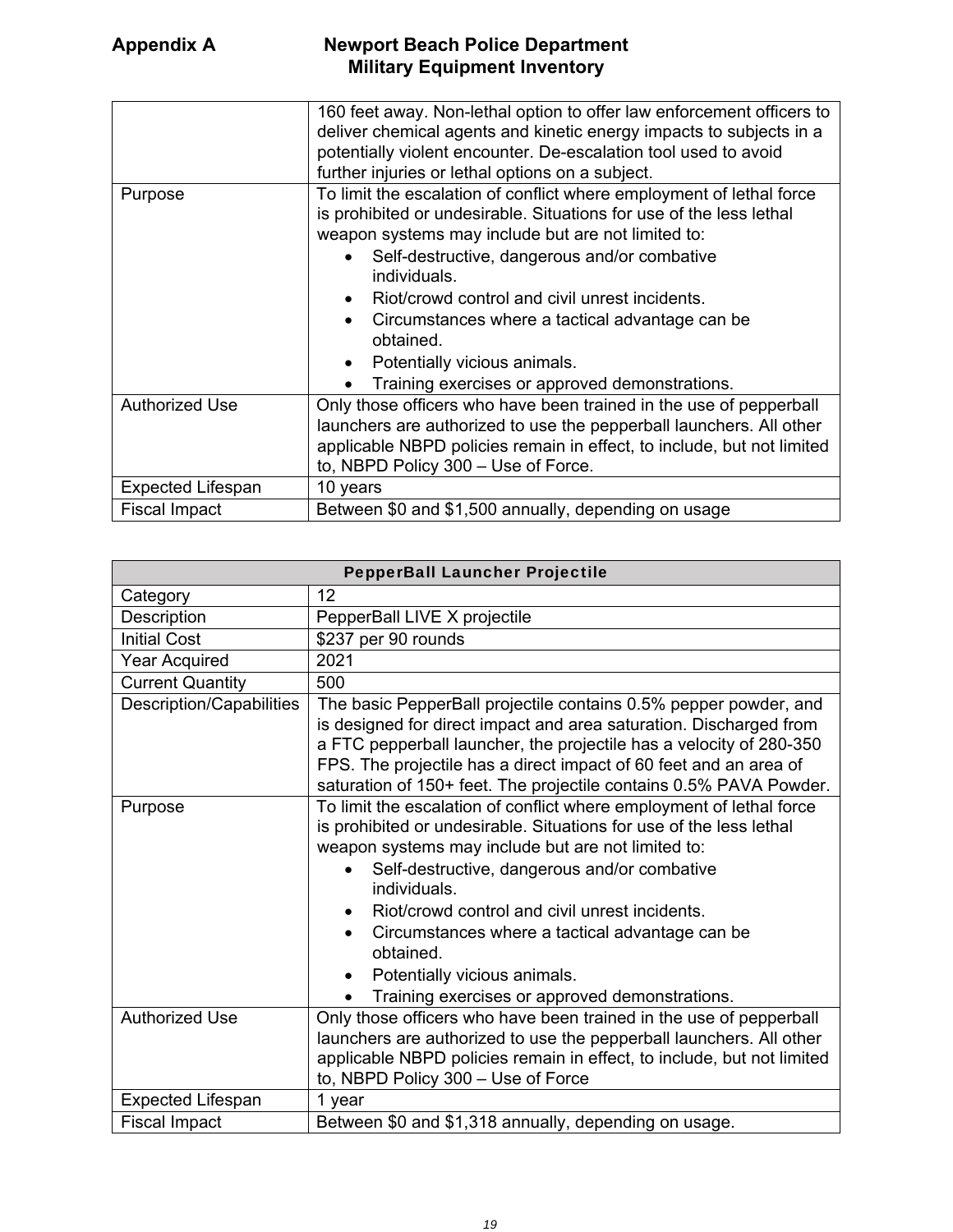|                          | 160 feet away. Non-lethal option to offer law enforcement officers to<br>deliver chemical agents and kinetic energy impacts to subjects in a<br>potentially violent encounter. De-escalation tool used to avoid<br>further injuries or lethal options on a subject.                                                                                                                                                                                                                             |
|--------------------------|-------------------------------------------------------------------------------------------------------------------------------------------------------------------------------------------------------------------------------------------------------------------------------------------------------------------------------------------------------------------------------------------------------------------------------------------------------------------------------------------------|
| Purpose                  | To limit the escalation of conflict where employment of lethal force<br>is prohibited or undesirable. Situations for use of the less lethal<br>weapon systems may include but are not limited to:<br>Self-destructive, dangerous and/or combative<br>individuals.<br>Riot/crowd control and civil unrest incidents.<br>Circumstances where a tactical advantage can be<br>$\bullet$<br>obtained.<br>Potentially vicious animals.<br>$\bullet$<br>Training exercises or approved demonstrations. |
| <b>Authorized Use</b>    | Only those officers who have been trained in the use of pepperball<br>launchers are authorized to use the pepperball launchers. All other<br>applicable NBPD policies remain in effect, to include, but not limited<br>to, NBPD Policy 300 - Use of Force.                                                                                                                                                                                                                                      |
| <b>Expected Lifespan</b> | 10 years                                                                                                                                                                                                                                                                                                                                                                                                                                                                                        |
| <b>Fiscal Impact</b>     | Between \$0 and \$1,500 annually, depending on usage                                                                                                                                                                                                                                                                                                                                                                                                                                            |

| <b>PepperBall Launcher Projectile</b> |                                                                                                                                                                                                                                                                                                                                                                                                                                                                                                              |
|---------------------------------------|--------------------------------------------------------------------------------------------------------------------------------------------------------------------------------------------------------------------------------------------------------------------------------------------------------------------------------------------------------------------------------------------------------------------------------------------------------------------------------------------------------------|
| Category                              | 12                                                                                                                                                                                                                                                                                                                                                                                                                                                                                                           |
| Description                           | PepperBall LIVE X projectile                                                                                                                                                                                                                                                                                                                                                                                                                                                                                 |
| <b>Initial Cost</b>                   | \$237 per 90 rounds                                                                                                                                                                                                                                                                                                                                                                                                                                                                                          |
| <b>Year Acquired</b>                  | 2021                                                                                                                                                                                                                                                                                                                                                                                                                                                                                                         |
| <b>Current Quantity</b>               | 500                                                                                                                                                                                                                                                                                                                                                                                                                                                                                                          |
| Description/Capabilities              | The basic PepperBall projectile contains 0.5% pepper powder, and<br>is designed for direct impact and area saturation. Discharged from<br>a FTC pepperball launcher, the projectile has a velocity of 280-350<br>FPS. The projectile has a direct impact of 60 feet and an area of<br>saturation of 150+ feet. The projectile contains 0.5% PAVA Powder.                                                                                                                                                     |
| Purpose                               | To limit the escalation of conflict where employment of lethal force<br>is prohibited or undesirable. Situations for use of the less lethal<br>weapon systems may include but are not limited to:<br>Self-destructive, dangerous and/or combative<br>individuals.<br>Riot/crowd control and civil unrest incidents.<br>$\bullet$<br>Circumstances where a tactical advantage can be<br>$\bullet$<br>obtained.<br>Potentially vicious animals.<br>$\bullet$<br>Training exercises or approved demonstrations. |
| <b>Authorized Use</b>                 | Only those officers who have been trained in the use of pepperball<br>launchers are authorized to use the pepperball launchers. All other<br>applicable NBPD policies remain in effect, to include, but not limited<br>to, NBPD Policy 300 - Use of Force                                                                                                                                                                                                                                                    |
| <b>Expected Lifespan</b>              | 1 year                                                                                                                                                                                                                                                                                                                                                                                                                                                                                                       |
| <b>Fiscal Impact</b>                  | Between \$0 and \$1,318 annually, depending on usage.                                                                                                                                                                                                                                                                                                                                                                                                                                                        |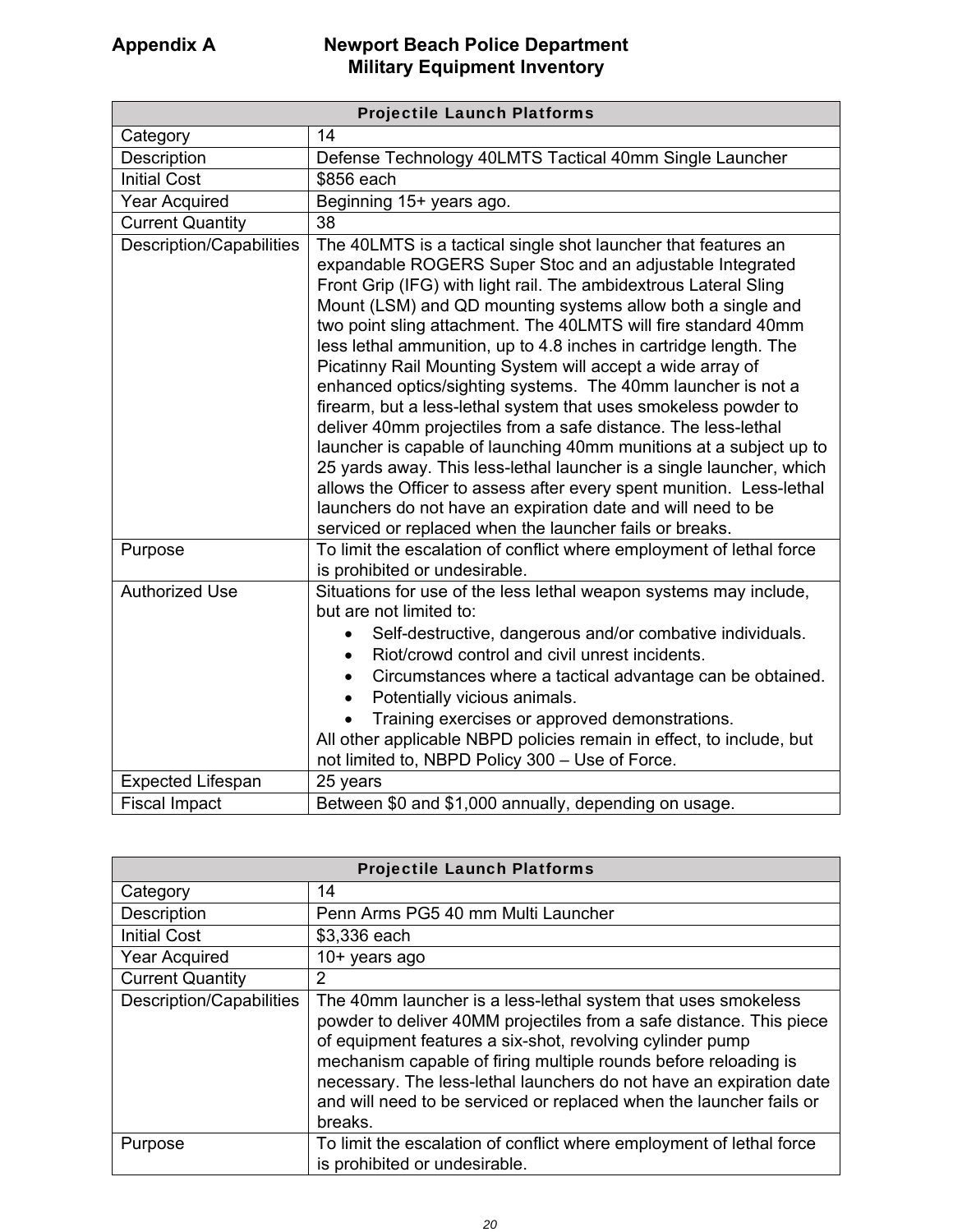| <b>Projectile Launch Platforms</b> |                                                                                                                                                                                                                                                                                                                                                                                                                                                                                                                                                                                                                                                                                                                                                                                                                                                                                                                                                                                                                           |
|------------------------------------|---------------------------------------------------------------------------------------------------------------------------------------------------------------------------------------------------------------------------------------------------------------------------------------------------------------------------------------------------------------------------------------------------------------------------------------------------------------------------------------------------------------------------------------------------------------------------------------------------------------------------------------------------------------------------------------------------------------------------------------------------------------------------------------------------------------------------------------------------------------------------------------------------------------------------------------------------------------------------------------------------------------------------|
| Category                           | 14                                                                                                                                                                                                                                                                                                                                                                                                                                                                                                                                                                                                                                                                                                                                                                                                                                                                                                                                                                                                                        |
| Description                        | Defense Technology 40LMTS Tactical 40mm Single Launcher                                                                                                                                                                                                                                                                                                                                                                                                                                                                                                                                                                                                                                                                                                                                                                                                                                                                                                                                                                   |
| <b>Initial Cost</b>                | \$856 each                                                                                                                                                                                                                                                                                                                                                                                                                                                                                                                                                                                                                                                                                                                                                                                                                                                                                                                                                                                                                |
| <b>Year Acquired</b>               | Beginning 15+ years ago.                                                                                                                                                                                                                                                                                                                                                                                                                                                                                                                                                                                                                                                                                                                                                                                                                                                                                                                                                                                                  |
| <b>Current Quantity</b>            | 38                                                                                                                                                                                                                                                                                                                                                                                                                                                                                                                                                                                                                                                                                                                                                                                                                                                                                                                                                                                                                        |
| <b>Description/Capabilities</b>    | The 40LMTS is a tactical single shot launcher that features an<br>expandable ROGERS Super Stoc and an adjustable Integrated<br>Front Grip (IFG) with light rail. The ambidextrous Lateral Sling<br>Mount (LSM) and QD mounting systems allow both a single and<br>two point sling attachment. The 40LMTS will fire standard 40mm<br>less lethal ammunition, up to 4.8 inches in cartridge length. The<br>Picatinny Rail Mounting System will accept a wide array of<br>enhanced optics/sighting systems. The 40mm launcher is not a<br>firearm, but a less-lethal system that uses smokeless powder to<br>deliver 40mm projectiles from a safe distance. The less-lethal<br>launcher is capable of launching 40mm munitions at a subject up to<br>25 yards away. This less-lethal launcher is a single launcher, which<br>allows the Officer to assess after every spent munition. Less-lethal<br>launchers do not have an expiration date and will need to be<br>serviced or replaced when the launcher fails or breaks. |
| Purpose                            | To limit the escalation of conflict where employment of lethal force<br>is prohibited or undesirable.                                                                                                                                                                                                                                                                                                                                                                                                                                                                                                                                                                                                                                                                                                                                                                                                                                                                                                                     |
| <b>Authorized Use</b>              | Situations for use of the less lethal weapon systems may include,<br>but are not limited to:<br>Self-destructive, dangerous and/or combative individuals.<br>Riot/crowd control and civil unrest incidents.<br>Circumstances where a tactical advantage can be obtained.<br>$\bullet$<br>Potentially vicious animals.<br>$\bullet$<br>Training exercises or approved demonstrations.<br>All other applicable NBPD policies remain in effect, to include, but<br>not limited to, NBPD Policy 300 - Use of Force.                                                                                                                                                                                                                                                                                                                                                                                                                                                                                                           |
| <b>Expected Lifespan</b>           | 25 years                                                                                                                                                                                                                                                                                                                                                                                                                                                                                                                                                                                                                                                                                                                                                                                                                                                                                                                                                                                                                  |
| <b>Fiscal Impact</b>               | Between \$0 and \$1,000 annually, depending on usage.                                                                                                                                                                                                                                                                                                                                                                                                                                                                                                                                                                                                                                                                                                                                                                                                                                                                                                                                                                     |

| <b>Projectile Launch Platforms</b> |                                                                                                                                                                                                                                                                                                                                                                                                                               |
|------------------------------------|-------------------------------------------------------------------------------------------------------------------------------------------------------------------------------------------------------------------------------------------------------------------------------------------------------------------------------------------------------------------------------------------------------------------------------|
| Category                           | 14                                                                                                                                                                                                                                                                                                                                                                                                                            |
| <b>Description</b>                 | Penn Arms PG5 40 mm Multi Launcher                                                                                                                                                                                                                                                                                                                                                                                            |
| <b>Initial Cost</b>                | \$3,336 each                                                                                                                                                                                                                                                                                                                                                                                                                  |
| <b>Year Acquired</b>               | $10+$ years ago                                                                                                                                                                                                                                                                                                                                                                                                               |
| <b>Current Quantity</b>            | 2                                                                                                                                                                                                                                                                                                                                                                                                                             |
| Description/Capabilities           | The 40mm launcher is a less-lethal system that uses smokeless<br>powder to deliver 40MM projectiles from a safe distance. This piece<br>of equipment features a six-shot, revolving cylinder pump<br>mechanism capable of firing multiple rounds before reloading is<br>necessary. The less-lethal launchers do not have an expiration date<br>and will need to be serviced or replaced when the launcher fails or<br>breaks. |
| Purpose                            | To limit the escalation of conflict where employment of lethal force<br>is prohibited or undesirable.                                                                                                                                                                                                                                                                                                                         |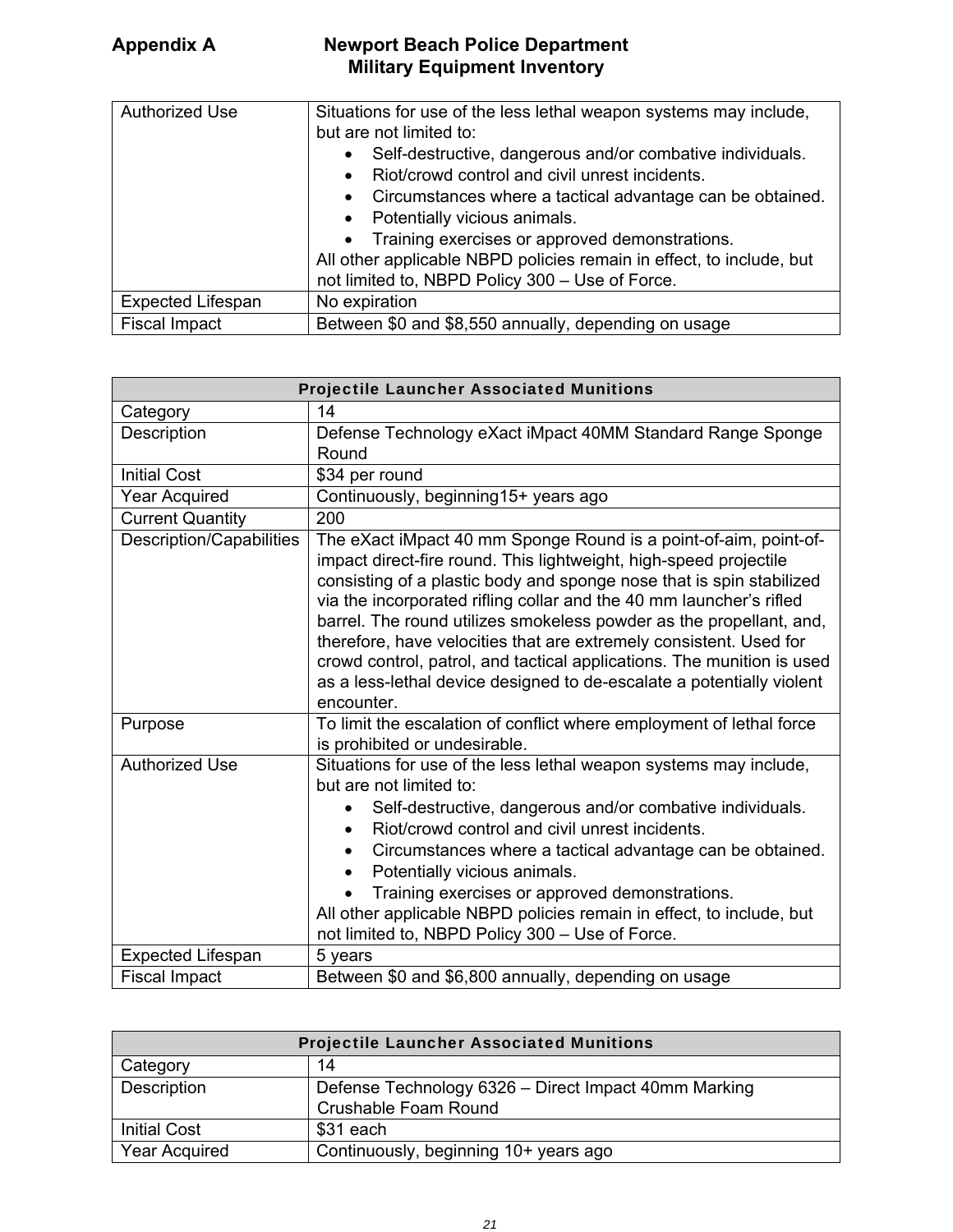| <b>Authorized Use</b>    | Situations for use of the less lethal weapon systems may include,<br>but are not limited to:<br>Self-destructive, dangerous and/or combative individuals.<br>$\bullet$<br>Riot/crowd control and civil unrest incidents.<br>$\bullet$<br>Circumstances where a tactical advantage can be obtained.<br>$\bullet$<br>Potentially vicious animals.<br>$\bullet$<br>Training exercises or approved demonstrations.<br>$\bullet$ |
|--------------------------|-----------------------------------------------------------------------------------------------------------------------------------------------------------------------------------------------------------------------------------------------------------------------------------------------------------------------------------------------------------------------------------------------------------------------------|
|                          | All other applicable NBPD policies remain in effect, to include, but                                                                                                                                                                                                                                                                                                                                                        |
|                          | not limited to, NBPD Policy 300 - Use of Force.                                                                                                                                                                                                                                                                                                                                                                             |
| <b>Expected Lifespan</b> | No expiration                                                                                                                                                                                                                                                                                                                                                                                                               |
| <b>Fiscal Impact</b>     | Between \$0 and \$8,550 annually, depending on usage                                                                                                                                                                                                                                                                                                                                                                        |

| <b>Projectile Launcher Associated Munitions</b> |                                                                                                                                                                                                                                                                                                                                                                                                                                                                                                                                                                                                    |
|-------------------------------------------------|----------------------------------------------------------------------------------------------------------------------------------------------------------------------------------------------------------------------------------------------------------------------------------------------------------------------------------------------------------------------------------------------------------------------------------------------------------------------------------------------------------------------------------------------------------------------------------------------------|
| Category                                        | 14                                                                                                                                                                                                                                                                                                                                                                                                                                                                                                                                                                                                 |
| Description                                     | Defense Technology eXact iMpact 40MM Standard Range Sponge                                                                                                                                                                                                                                                                                                                                                                                                                                                                                                                                         |
|                                                 | Round                                                                                                                                                                                                                                                                                                                                                                                                                                                                                                                                                                                              |
| <b>Initial Cost</b>                             | \$34 per round                                                                                                                                                                                                                                                                                                                                                                                                                                                                                                                                                                                     |
| <b>Year Acquired</b>                            | Continuously, beginning15+ years ago                                                                                                                                                                                                                                                                                                                                                                                                                                                                                                                                                               |
| <b>Current Quantity</b>                         | 200                                                                                                                                                                                                                                                                                                                                                                                                                                                                                                                                                                                                |
| Description/Capabilities                        | The eXact iMpact 40 mm Sponge Round is a point-of-aim, point-of-<br>impact direct-fire round. This lightweight, high-speed projectile<br>consisting of a plastic body and sponge nose that is spin stabilized<br>via the incorporated rifling collar and the 40 mm launcher's rifled<br>barrel. The round utilizes smokeless powder as the propellant, and,<br>therefore, have velocities that are extremely consistent. Used for<br>crowd control, patrol, and tactical applications. The munition is used<br>as a less-lethal device designed to de-escalate a potentially violent<br>encounter. |
| Purpose                                         | To limit the escalation of conflict where employment of lethal force<br>is prohibited or undesirable.                                                                                                                                                                                                                                                                                                                                                                                                                                                                                              |
| <b>Authorized Use</b>                           | Situations for use of the less lethal weapon systems may include,<br>but are not limited to:<br>Self-destructive, dangerous and/or combative individuals.<br>Riot/crowd control and civil unrest incidents.<br>$\bullet$<br>Circumstances where a tactical advantage can be obtained.<br>Potentially vicious animals.<br>Training exercises or approved demonstrations.<br>All other applicable NBPD policies remain in effect, to include, but<br>not limited to, NBPD Policy 300 - Use of Force.                                                                                                 |
| <b>Expected Lifespan</b>                        | 5 years                                                                                                                                                                                                                                                                                                                                                                                                                                                                                                                                                                                            |
| <b>Fiscal Impact</b>                            | Between \$0 and \$6,800 annually, depending on usage                                                                                                                                                                                                                                                                                                                                                                                                                                                                                                                                               |

| <b>Projectile Launcher Associated Munitions</b> |                                                                                     |
|-------------------------------------------------|-------------------------------------------------------------------------------------|
| Category                                        | 14                                                                                  |
| Description                                     | Defense Technology 6326 - Direct Impact 40mm Marking<br><b>Crushable Foam Round</b> |
| <b>Initial Cost</b>                             | \$31 each                                                                           |
| <b>Year Acquired</b>                            | Continuously, beginning 10+ years ago                                               |